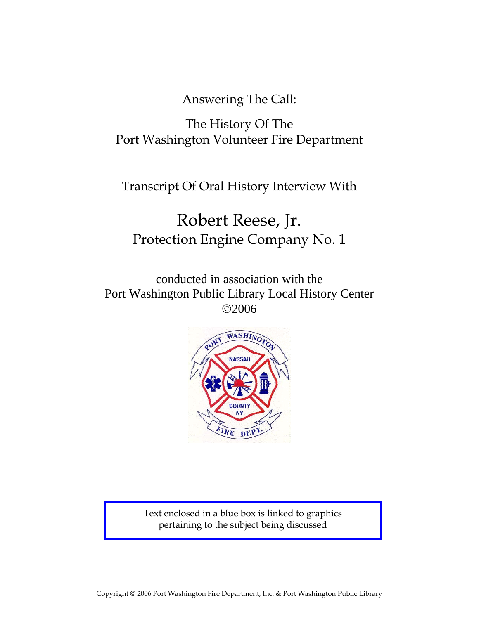Answering The Call:

## The History Of The Port Washington Volunteer Fire Department

Transcript Of Oral History Interview With

# Robert Reese, Jr. Protection Engine Company No. 1

conducted in association with the Port Washington Public Library Local History Center ©2006



Text enclosed in a blue box is linked to graphics pertaining to the subject being discussed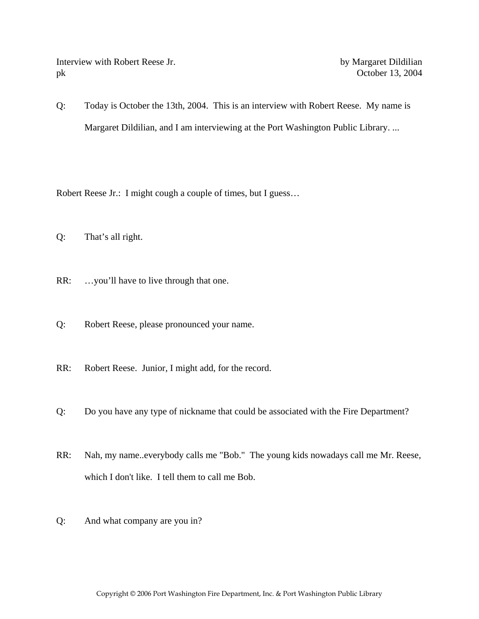Interview with Robert Reese Jr. by Margaret Dildilian pk October 13, 2004

Q: Today is October the 13th, 2004. This is an interview with Robert Reese. My name is Margaret Dildilian, and I am interviewing at the Port Washington Public Library. ...

Robert Reese Jr.: I might cough a couple of times, but I guess…

- Q: That's all right.
- RR: …you'll have to live through that one.
- Q: Robert Reese, please pronounced your name.
- RR: Robert Reese. Junior, I might add, for the record.
- Q: Do you have any type of nickname that could be associated with the Fire Department?
- RR: Nah, my name..everybody calls me "Bob." The young kids nowadays call me Mr. Reese, which I don't like. I tell them to call me Bob.
- Q: And what company are you in?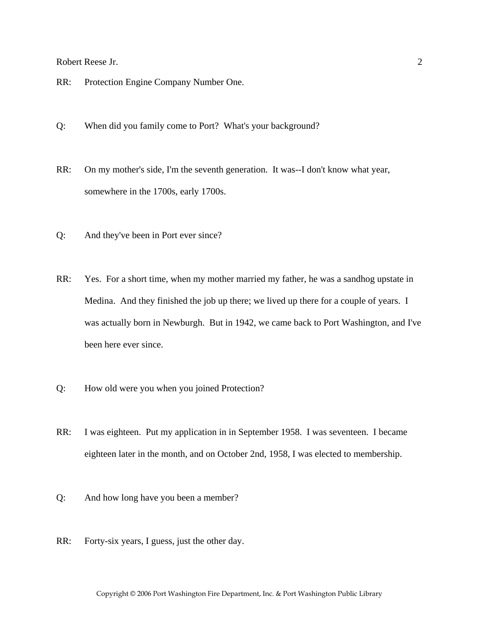- RR: Protection Engine Company Number One.
- Q: When did you family come to Port? What's your background?
- RR: On my mother's side, I'm the seventh generation. It was--I don't know what year, somewhere in the 1700s, early 1700s.
- Q: And they've been in Port ever since?
- RR: Yes. For a short time, when my mother married my father, he was a sandhog upstate in Medina. And they finished the job up there; we lived up there for a couple of years. I was actually born in Newburgh. But in 1942, we came back to Port Washington, and I've been here ever since.
- Q: How old were you when you joined Protection?
- RR: I was eighteen. Put my application in in September 1958. I was seventeen. I became eighteen later in the month, and on October 2nd, 1958, I was elected to membership.
- Q: And how long have you been a member?
- RR: Forty-six years, I guess, just the other day.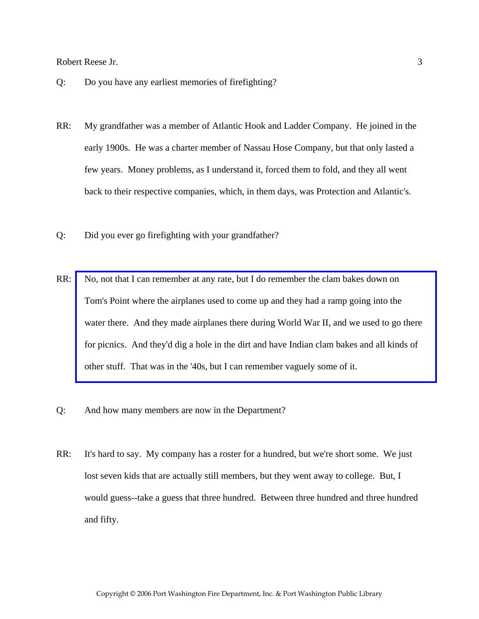- Q: Do you have any earliest memories of firefighting?
- RR: My grandfather was a member of Atlantic Hook and Ladder Company. He joined in the early 1900s. He was a charter member of Nassau Hose Company, but that only lasted a few years. Money problems, as I understand it, forced them to fold, and they all went back to their respective companies, which, in them days, was Protection and Atlantic's.
- Q: Did you ever go firefighting with your grandfather?
- RR: No, not that I can remember at any rate, but I do remember the clam bakes down on Tom's Point where the airplanes used to come up and they had a ramp going into the [water there. And they made airplanes there during World War II, and we used to go there](http://www.pwfdhistory.com/trans/reeseb_trans/ahlco_members01_web.jpg)  for picnics. And they'd dig a hole in the dirt and have Indian clam bakes and all kinds of other stuff. That was in the '40s, but I can remember vaguely some of it.
- Q: And how many members are now in the Department?
- RR: It's hard to say. My company has a roster for a hundred, but we're short some. We just lost seven kids that are actually still members, but they went away to college. But, I would guess--take a guess that three hundred. Between three hundred and three hundred and fifty.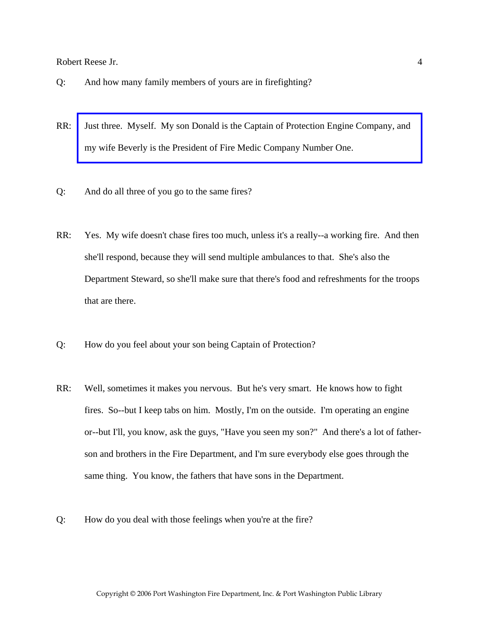- Q: And how many family members of yours are in firefighting?
- RR: [Just three. Myself. My son Donald is the Captain of Protection Engine Company, and](http://www.pwfdhistory.com/trans/reeseb_trans/fam_reese003_web.jpg)  my wife Beverly is the President of Fire Medic Company Number One.
- Q: And do all three of you go to the same fires?
- RR: Yes. My wife doesn't chase fires too much, unless it's a really--a working fire. And then she'll respond, because they will send multiple ambulances to that. She's also the Department Steward, so she'll make sure that there's food and refreshments for the troops that are there.
- Q: How do you feel about your son being Captain of Protection?
- RR: Well, sometimes it makes you nervous. But he's very smart. He knows how to fight fires. So--but I keep tabs on him. Mostly, I'm on the outside. I'm operating an engine or--but I'll, you know, ask the guys, "Have you seen my son?" And there's a lot of fatherson and brothers in the Fire Department, and I'm sure everybody else goes through the same thing. You know, the fathers that have sons in the Department.
- Q: How do you deal with those feelings when you're at the fire?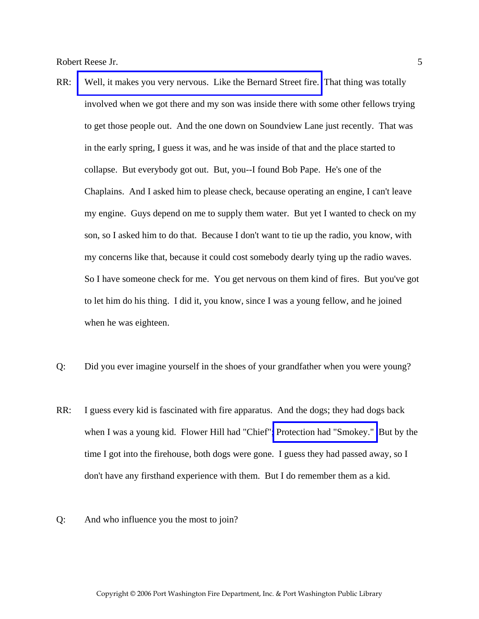- RR: [Well, it makes you very nervous. Like the Bernard Street fire.](http://www.pwfdhistory.com/trans/reeseb_trans/news_bernardst04_960208_hw.pdf) That thing was totally involved when we got there and my son was inside there with some other fellows trying to get those people out. And the one down on Soundview Lane just recently. That was in the early spring, I guess it was, and he was inside of that and the place started to collapse. But everybody got out. But, you--I found Bob Pape. He's one of the Chaplains. And I asked him to please check, because operating an engine, I can't leave my engine. Guys depend on me to supply them water. But yet I wanted to check on my son, so I asked him to do that. Because I don't want to tie up the radio, you know, with my concerns like that, because it could cost somebody dearly tying up the radio waves. So I have someone check for me. You get nervous on them kind of fires. But you've got to let him do his thing. I did it, you know, since I was a young fellow, and he joined when he was eighteen.
- Q: Did you ever imagine yourself in the shoes of your grandfather when you were young?
- RR: I guess every kid is fascinated with fire apparatus. And the dogs; they had dogs back when I was a young kid. Flower Hill had "Chief"[; Protection had "Smokey."](http://www.pwfdhistory.com/trans/reeseb_trans/peco_smokey003_web.jpg) But by the time I got into the firehouse, both dogs were gone. I guess they had passed away, so I don't have any firsthand experience with them. But I do remember them as a kid.
- Q: And who influence you the most to join?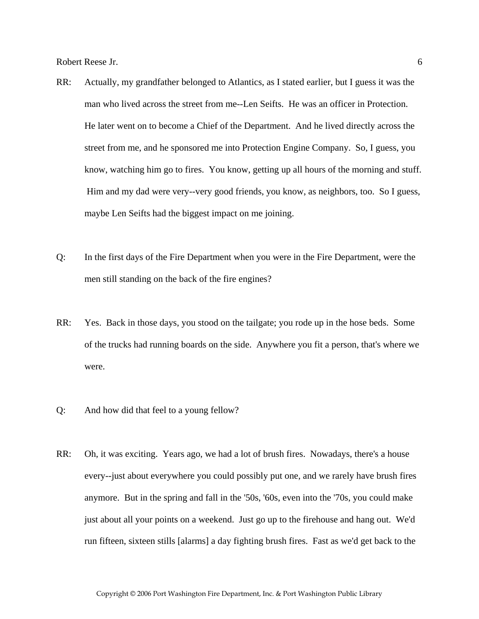- RR: Actually, my grandfather belonged to Atlantics, as I stated earlier, but I guess it was the man who lived across the street from me--Len Seifts. He was an officer in Protection. He later went on to become a Chief of the Department. And he lived directly across the street from me, and he sponsored me into Protection Engine Company. So, I guess, you know, watching him go to fires. You know, getting up all hours of the morning and stuff. Him and my dad were very--very good friends, you know, as neighbors, too. So I guess, maybe Len Seifts had the biggest impact on me joining.
- Q: In the first days of the Fire Department when you were in the Fire Department, were the men still standing on the back of the fire engines?
- RR: Yes. Back in those days, you stood on the tailgate; you rode up in the hose beds. Some of the trucks had running boards on the side. Anywhere you fit a person, that's where we were.
- Q: And how did that feel to a young fellow?
- RR: Oh, it was exciting. Years ago, we had a lot of brush fires. Nowadays, there's a house every--just about everywhere you could possibly put one, and we rarely have brush fires anymore. But in the spring and fall in the '50s, '60s, even into the '70s, you could make just about all your points on a weekend. Just go up to the firehouse and hang out. We'd run fifteen, sixteen stills [alarms] a day fighting brush fires. Fast as we'd get back to the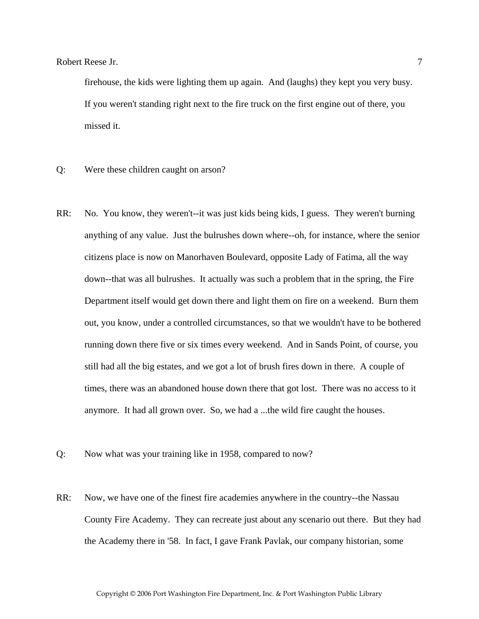firehouse, the kids were lighting them up again. And (laughs) they kept you very busy. If you weren't standing right next to the fire truck on the first engine out of there, you missed it.

- Q: Were these children caught on arson?
- RR: No. You know, they weren't--it was just kids being kids, I guess. They weren't burning anything of any value. Just the bulrushes down where--oh, for instance, where the senior citizens place is now on Manorhaven Boulevard, opposite Lady of Fatima, all the way down--that was all bulrushes. It actually was such a problem that in the spring, the Fire Department itself would get down there and light them on fire on a weekend. Burn them out, you know, under a controlled circumstances, so that we wouldn't have to be bothered running down there five or six times every weekend. And in Sands Point, of course, you still had all the big estates, and we got a lot of brush fires down in there. A couple of times, there was an abandoned house down there that got lost. There was no access to it anymore. It had all grown over. So, we had a ...the wild fire caught the houses.
- Q: Now what was your training like in 1958, compared to now?
- RR: Now, we have one of the finest fire academies anywhere in the country--the Nassau County Fire Academy. They can recreate just about any scenario out there. But they had the Academy there in '58. In fact, I gave Frank Pavlak, our company historian, some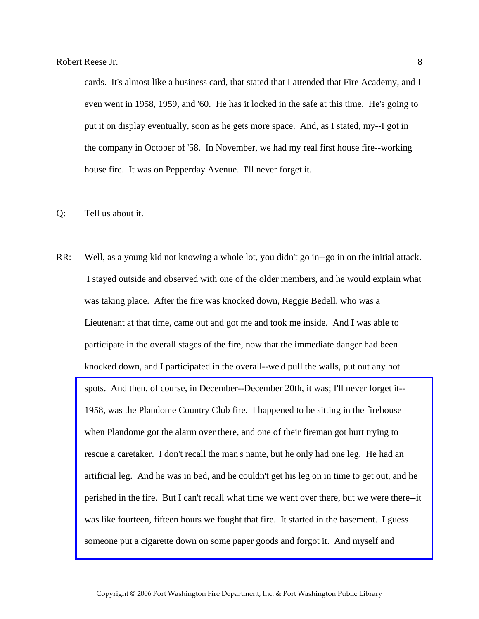cards. It's almost like a business card, that stated that I attended that Fire Academy, and I even went in 1958, 1959, and '60. He has it locked in the safe at this time. He's going to put it on display eventually, soon as he gets more space. And, as I stated, my--I got in the company in October of '58. In November, we had my real first house fire--working house fire. It was on Pepperday Avenue. I'll never forget it.

Q: Tell us about it.

RR: Well, as a young kid not knowing a whole lot, you didn't go in--go in on the initial attack. I stayed outside and observed with one of the older members, and he would explain what was taking place. After the fire was knocked down, Reggie Bedell, who was a Lieutenant at that time, came out and got me and took me inside. And I was able to participate in the overall stages of the fire, now that the immediate danger had been knocked down, and I participated in the overall--we'd pull the walls, put out any hot spots. And then, of course, in December--December 20th, it was; I'll never forget it-- 1958, was the Plandome Country Club fire. I happened to be sitting in the firehouse when Plandome got the alarm over there, and one of their fireman got hurt trying to rescue a caretaker. I don't recall the man's name, but he only had one leg. He had an artificial leg. And he was in bed, and he couldn't get his leg on in time to get out, and he [perished in the fire. But I can't recall what time we went over there, but we were there--it](http://www.pwfdhistory.com/trans/reeseb_trans/peco_fires035b.pdf)  was like fourteen, fifteen hours we fought that fire. It started in the basement. I guess someone put a cigarette down on some paper goods and forgot it. And myself and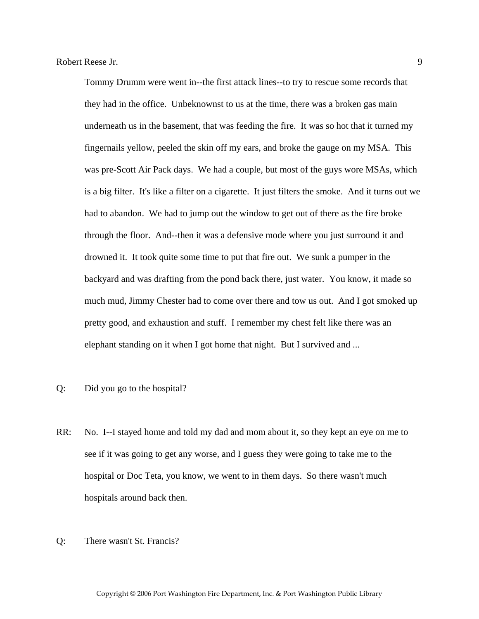Tommy Drumm were went in--the first attack lines--to try to rescue some records that they had in the office. Unbeknownst to us at the time, there was a broken gas main underneath us in the basement, that was feeding the fire. It was so hot that it turned my fingernails yellow, peeled the skin off my ears, and broke the gauge on my MSA. This was pre-Scott Air Pack days. We had a couple, but most of the guys wore MSAs, which is a big filter. It's like a filter on a cigarette. It just filters the smoke. And it turns out we had to abandon. We had to jump out the window to get out of there as the fire broke through the floor. And--then it was a defensive mode where you just surround it and drowned it. It took quite some time to put that fire out. We sunk a pumper in the backyard and was drafting from the pond back there, just water. You know, it made so much mud, Jimmy Chester had to come over there and tow us out. And I got smoked up pretty good, and exhaustion and stuff. I remember my chest felt like there was an elephant standing on it when I got home that night. But I survived and ...

- Q: Did you go to the hospital?
- RR: No. I--I stayed home and told my dad and mom about it, so they kept an eye on me to see if it was going to get any worse, and I guess they were going to take me to the hospital or Doc Teta, you know, we went to in them days. So there wasn't much hospitals around back then.
- Q: There wasn't St. Francis?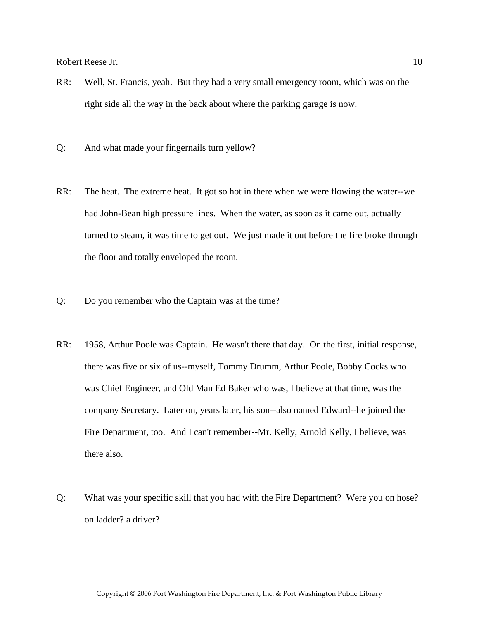- RR: Well, St. Francis, yeah. But they had a very small emergency room, which was on the right side all the way in the back about where the parking garage is now.
- Q: And what made your fingernails turn yellow?
- RR: The heat. The extreme heat. It got so hot in there when we were flowing the water--we had John-Bean high pressure lines. When the water, as soon as it came out, actually turned to steam, it was time to get out. We just made it out before the fire broke through the floor and totally enveloped the room.
- Q: Do you remember who the Captain was at the time?
- RR: 1958, Arthur Poole was Captain. He wasn't there that day. On the first, initial response, there was five or six of us--myself, Tommy Drumm, Arthur Poole, Bobby Cocks who was Chief Engineer, and Old Man Ed Baker who was, I believe at that time, was the company Secretary. Later on, years later, his son--also named Edward--he joined the Fire Department, too. And I can't remember--Mr. Kelly, Arnold Kelly, I believe, was there also.
- Q: What was your specific skill that you had with the Fire Department? Were you on hose? on ladder? a driver?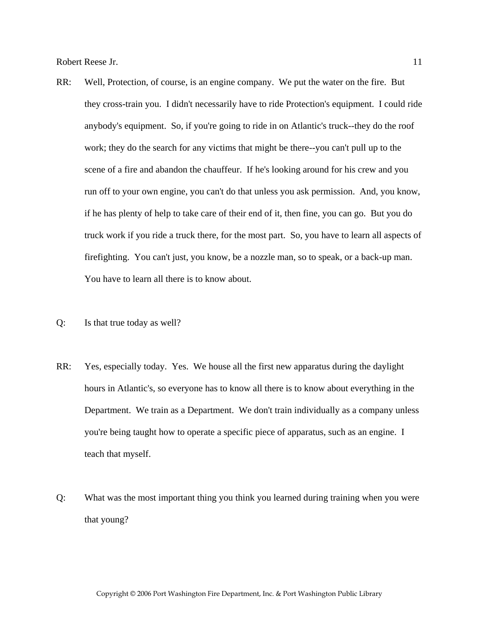- RR: Well, Protection, of course, is an engine company. We put the water on the fire. But they cross-train you. I didn't necessarily have to ride Protection's equipment. I could ride anybody's equipment. So, if you're going to ride in on Atlantic's truck--they do the roof work; they do the search for any victims that might be there--you can't pull up to the scene of a fire and abandon the chauffeur. If he's looking around for his crew and you run off to your own engine, you can't do that unless you ask permission. And, you know, if he has plenty of help to take care of their end of it, then fine, you can go. But you do truck work if you ride a truck there, for the most part. So, you have to learn all aspects of firefighting. You can't just, you know, be a nozzle man, so to speak, or a back-up man. You have to learn all there is to know about.
- Q: Is that true today as well?
- RR: Yes, especially today. Yes. We house all the first new apparatus during the daylight hours in Atlantic's, so everyone has to know all there is to know about everything in the Department. We train as a Department. We don't train individually as a company unless you're being taught how to operate a specific piece of apparatus, such as an engine. I teach that myself.
- Q: What was the most important thing you think you learned during training when you were that young?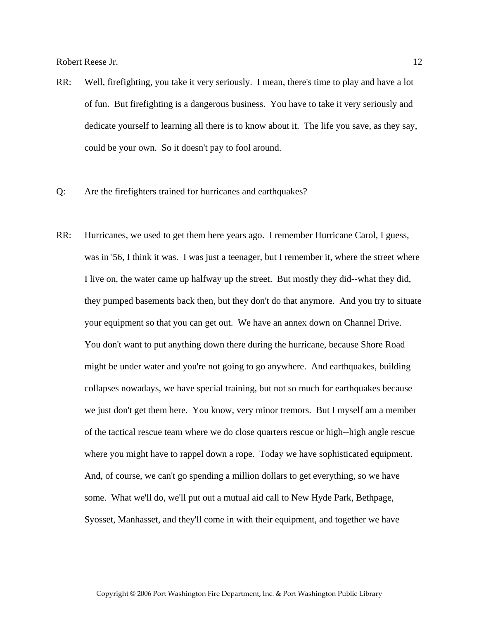- RR: Well, firefighting, you take it very seriously. I mean, there's time to play and have a lot of fun. But firefighting is a dangerous business. You have to take it very seriously and dedicate yourself to learning all there is to know about it. The life you save, as they say, could be your own. So it doesn't pay to fool around.
- Q: Are the firefighters trained for hurricanes and earthquakes?
- RR: Hurricanes, we used to get them here years ago. I remember Hurricane Carol, I guess, was in '56, I think it was. I was just a teenager, but I remember it, where the street where I live on, the water came up halfway up the street. But mostly they did--what they did, they pumped basements back then, but they don't do that anymore. And you try to situate your equipment so that you can get out. We have an annex down on Channel Drive. You don't want to put anything down there during the hurricane, because Shore Road might be under water and you're not going to go anywhere. And earthquakes, building collapses nowadays, we have special training, but not so much for earthquakes because we just don't get them here. You know, very minor tremors. But I myself am a member of the tactical rescue team where we do close quarters rescue or high--high angle rescue where you might have to rappel down a rope. Today we have sophisticated equipment. And, of course, we can't go spending a million dollars to get everything, so we have some. What we'll do, we'll put out a mutual aid call to New Hyde Park, Bethpage, Syosset, Manhasset, and they'll come in with their equipment, and together we have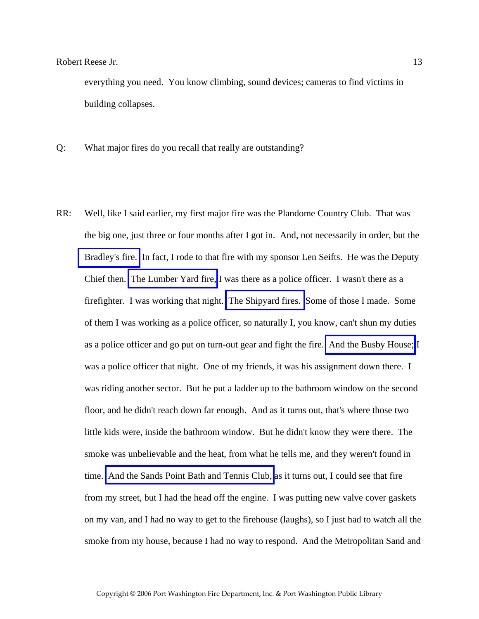everything you need. You know climbing, sound devices; cameras to find victims in building collapses.

- Q: What major fires do you recall that really are outstanding?
- RR: Well, like I said earlier, my first major fire was the Plandome Country Club. That was the big one, just three or four months after I got in. And, not necessarily in order, but the [Bradley's fire.](http://www.pwfdhistory.com/trans/reeseb_trans/peco_fires036.pdf) In fact, I rode to that fire with my sponsor Len Seifts. He was the Deputy Chief then. [The Lumber Yard fire,](http://www.pwfdhistory.com/trans/reeseb_trans/pwfd_news_lumberyd.pdf) I was there as a police officer. I wasn't there as a firefighter. I was working that night. [The Shipyard fires.](http://www.pwfdhistory.com/trans/reeseb_trans/news_cocks_boatyardsx.pdf) Some of those I made. Some of them I was working as a police officer, so naturally I, you know, can't shun my duties as a police officer and go put on turn-out gear and fight the fire. [And the Busby House;](http://www.pwfdhistory.com/trans/reeseb_trans/pwfd_fires07.pdf) I was a police officer that night. One of my friends, it was his assignment down there. I was riding another sector. But he put a ladder up to the bathroom window on the second floor, and he didn't reach down far enough. And as it turns out, that's where those two little kids were, inside the bathroom window. But he didn't know they were there. The smoke was unbelievable and the heat, from what he tells me, and they weren't found in time. [And the Sands Point Bath and Tennis Club,](http://www.pwfdhistory.com/trans/reeseb_trans/spbathclb_pz_web.pdf) as it turns out, I could see that fire from my street, but I had the head off the engine. I was putting new valve cover gaskets on my van, and I had no way to get to the firehouse (laughs), so I just had to watch all the smoke from my house, because I had no way to respond. And the Metropolitan Sand and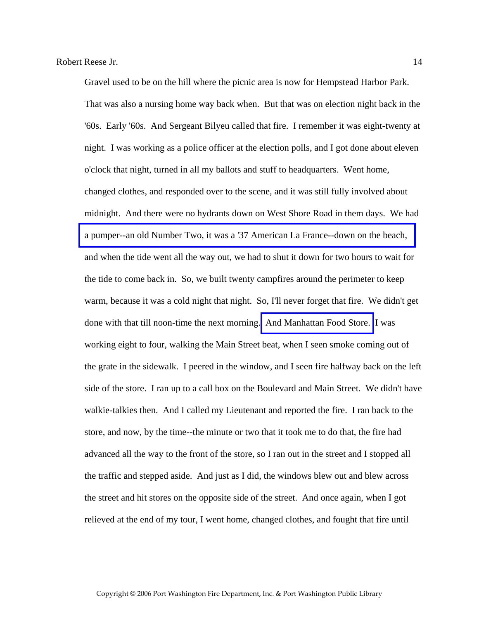Gravel used to be on the hill where the picnic area is now for Hempstead Harbor Park. That was also a nursing home way back when. But that was on election night back in the '60s. Early '60s. And Sergeant Bilyeu called that fire. I remember it was eight-twenty at night. I was working as a police officer at the election polls, and I got done about eleven o'clock that night, turned in all my ballots and stuff to headquarters. Went home, changed clothes, and responded over to the scene, and it was still fully involved about midnight. And there were no hydrants down on West Shore Road in them days. We had [a pumper--an old Number Two, it was a '37 American La France--down on the beach,](http://www.pwfdhistory.com/trans/reeseb_trans/peco_trucks022a.pdf)  and when the tide went all the way out, we had to shut it down for two hours to wait for the tide to come back in. So, we built twenty campfires around the perimeter to keep warm, because it was a cold night that night. So, I'll never forget that fire. We didn't get done with that till noon-time the next morning. [And Manhattan Food Store.](http://www.pwfdhistory.com/trans/reeseb_trans/news_cocks_mfood1970.pdf) I was working eight to four, walking the Main Street beat, when I seen smoke coming out of the grate in the sidewalk. I peered in the window, and I seen fire halfway back on the left side of the store. I ran up to a call box on the Boulevard and Main Street. We didn't have walkie-talkies then. And I called my Lieutenant and reported the fire. I ran back to the store, and now, by the time--the minute or two that it took me to do that, the fire had advanced all the way to the front of the store, so I ran out in the street and I stopped all the traffic and stepped aside. And just as I did, the windows blew out and blew across the street and hit stores on the opposite side of the street. And once again, when I got relieved at the end of my tour, I went home, changed clothes, and fought that fire until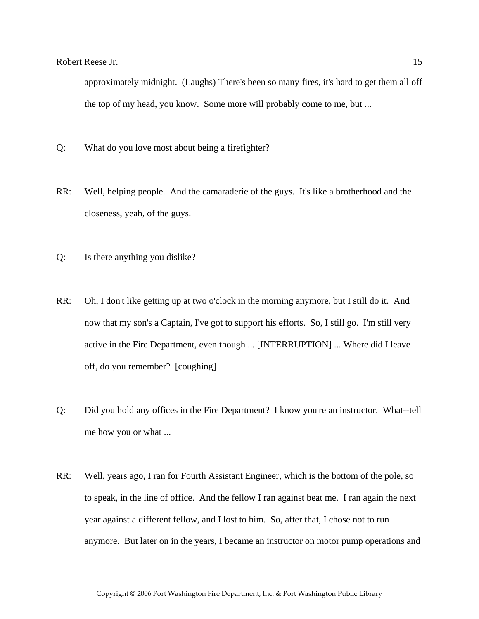approximately midnight. (Laughs) There's been so many fires, it's hard to get them all off the top of my head, you know. Some more will probably come to me, but ...

- Q: What do you love most about being a firefighter?
- RR: Well, helping people. And the camaraderie of the guys. It's like a brotherhood and the closeness, yeah, of the guys.
- Q: Is there anything you dislike?
- RR: Oh, I don't like getting up at two o'clock in the morning anymore, but I still do it. And now that my son's a Captain, I've got to support his efforts. So, I still go. I'm still very active in the Fire Department, even though ... [INTERRUPTION] ... Where did I leave off, do you remember? [coughing]
- Q: Did you hold any offices in the Fire Department? I know you're an instructor. What--tell me how you or what ...
- RR: Well, years ago, I ran for Fourth Assistant Engineer, which is the bottom of the pole, so to speak, in the line of office. And the fellow I ran against beat me. I ran again the next year against a different fellow, and I lost to him. So, after that, I chose not to run anymore. But later on in the years, I became an instructor on motor pump operations and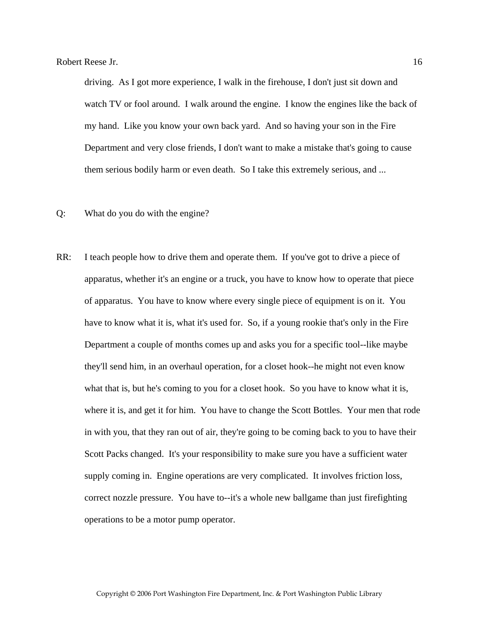driving. As I got more experience, I walk in the firehouse, I don't just sit down and watch TV or fool around. I walk around the engine. I know the engines like the back of my hand. Like you know your own back yard. And so having your son in the Fire Department and very close friends, I don't want to make a mistake that's going to cause them serious bodily harm or even death. So I take this extremely serious, and ...

- Q: What do you do with the engine?
- RR: I teach people how to drive them and operate them. If you've got to drive a piece of apparatus, whether it's an engine or a truck, you have to know how to operate that piece of apparatus. You have to know where every single piece of equipment is on it. You have to know what it is, what it's used for. So, if a young rookie that's only in the Fire Department a couple of months comes up and asks you for a specific tool--like maybe they'll send him, in an overhaul operation, for a closet hook--he might not even know what that is, but he's coming to you for a closet hook. So you have to know what it is, where it is, and get it for him. You have to change the Scott Bottles. Your men that rode in with you, that they ran out of air, they're going to be coming back to you to have their Scott Packs changed. It's your responsibility to make sure you have a sufficient water supply coming in. Engine operations are very complicated. It involves friction loss, correct nozzle pressure. You have to--it's a whole new ballgame than just firefighting operations to be a motor pump operator.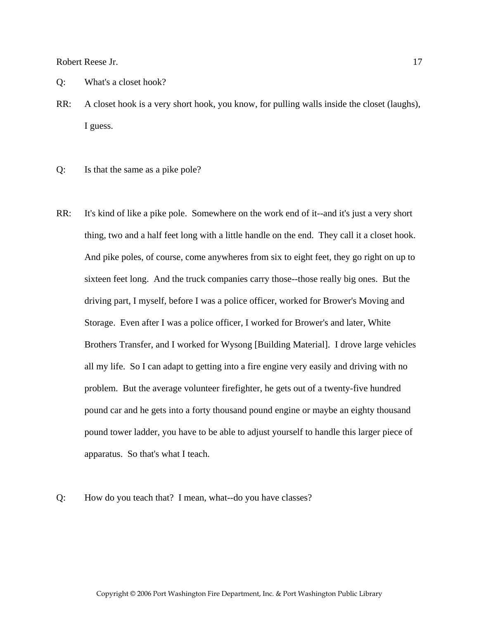- Q: What's a closet hook?
- RR: A closet hook is a very short hook, you know, for pulling walls inside the closet (laughs), I guess.
- Q: Is that the same as a pike pole?
- RR: It's kind of like a pike pole. Somewhere on the work end of it--and it's just a very short thing, two and a half feet long with a little handle on the end. They call it a closet hook. And pike poles, of course, come anywheres from six to eight feet, they go right on up to sixteen feet long. And the truck companies carry those--those really big ones. But the driving part, I myself, before I was a police officer, worked for Brower's Moving and Storage. Even after I was a police officer, I worked for Brower's and later, White Brothers Transfer, and I worked for Wysong [Building Material]. I drove large vehicles all my life. So I can adapt to getting into a fire engine very easily and driving with no problem. But the average volunteer firefighter, he gets out of a twenty-five hundred pound car and he gets into a forty thousand pound engine or maybe an eighty thousand pound tower ladder, you have to be able to adjust yourself to handle this larger piece of apparatus. So that's what I teach.
- Q: How do you teach that? I mean, what--do you have classes?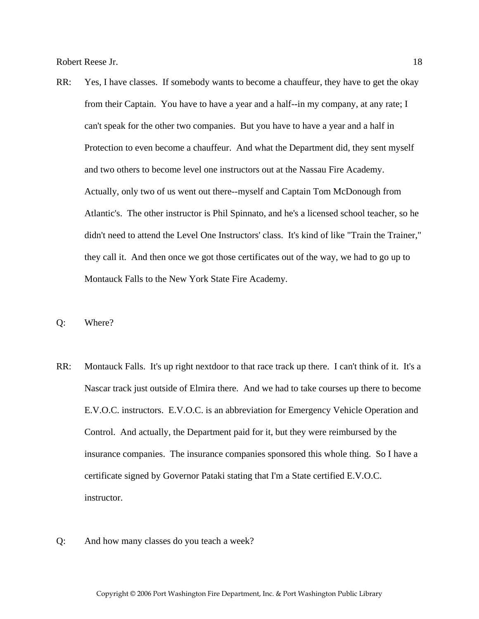- RR: Yes, I have classes. If somebody wants to become a chauffeur, they have to get the okay from their Captain. You have to have a year and a half--in my company, at any rate; I can't speak for the other two companies. But you have to have a year and a half in Protection to even become a chauffeur. And what the Department did, they sent myself and two others to become level one instructors out at the Nassau Fire Academy. Actually, only two of us went out there--myself and Captain Tom McDonough from Atlantic's. The other instructor is Phil Spinnato, and he's a licensed school teacher, so he didn't need to attend the Level One Instructors' class. It's kind of like "Train the Trainer," they call it. And then once we got those certificates out of the way, we had to go up to Montauck Falls to the New York State Fire Academy.
- Q: Where?
- RR: Montauck Falls. It's up right nextdoor to that race track up there. I can't think of it. It's a Nascar track just outside of Elmira there. And we had to take courses up there to become E.V.O.C. instructors. E.V.O.C. is an abbreviation for Emergency Vehicle Operation and Control. And actually, the Department paid for it, but they were reimbursed by the insurance companies. The insurance companies sponsored this whole thing. So I have a certificate signed by Governor Pataki stating that I'm a State certified E.V.O.C. instructor.
- Q: And how many classes do you teach a week?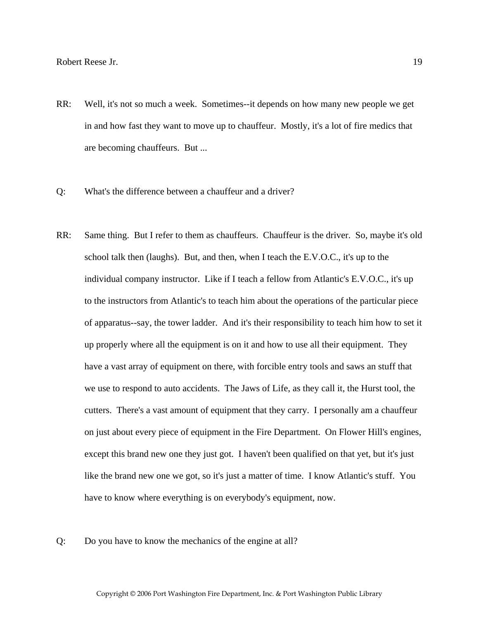- RR: Well, it's not so much a week. Sometimes--it depends on how many new people we get in and how fast they want to move up to chauffeur. Mostly, it's a lot of fire medics that are becoming chauffeurs. But ...
- Q: What's the difference between a chauffeur and a driver?
- RR: Same thing. But I refer to them as chauffeurs. Chauffeur is the driver. So, maybe it's old school talk then (laughs). But, and then, when I teach the E.V.O.C., it's up to the individual company instructor. Like if I teach a fellow from Atlantic's E.V.O.C., it's up to the instructors from Atlantic's to teach him about the operations of the particular piece of apparatus--say, the tower ladder. And it's their responsibility to teach him how to set it up properly where all the equipment is on it and how to use all their equipment. They have a vast array of equipment on there, with forcible entry tools and saws an stuff that we use to respond to auto accidents. The Jaws of Life, as they call it, the Hurst tool, the cutters. There's a vast amount of equipment that they carry. I personally am a chauffeur on just about every piece of equipment in the Fire Department. On Flower Hill's engines, except this brand new one they just got. I haven't been qualified on that yet, but it's just like the brand new one we got, so it's just a matter of time. I know Atlantic's stuff. You have to know where everything is on everybody's equipment, now.
- Q: Do you have to know the mechanics of the engine at all?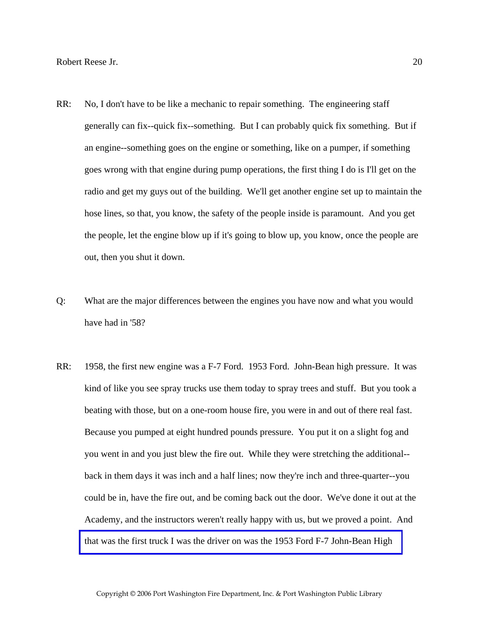- RR: No, I don't have to be like a mechanic to repair something. The engineering staff generally can fix--quick fix--something. But I can probably quick fix something. But if an engine--something goes on the engine or something, like on a pumper, if something goes wrong with that engine during pump operations, the first thing I do is I'll get on the radio and get my guys out of the building. We'll get another engine set up to maintain the hose lines, so that, you know, the safety of the people inside is paramount. And you get the people, let the engine blow up if it's going to blow up, you know, once the people are out, then you shut it down.
- Q: What are the major differences between the engines you have now and what you would have had in '58?
- RR: 1958, the first new engine was a F-7 Ford. 1953 Ford. John-Bean high pressure. It was kind of like you see spray trucks use them today to spray trees and stuff. But you took a beating with those, but on a one-room house fire, you were in and out of there real fast. Because you pumped at eight hundred pounds pressure. You put it on a slight fog and you went in and you just blew the fire out. While they were stretching the additional- back in them days it was inch and a half lines; now they're inch and three-quarter--you could be in, have the fire out, and be coming back out the door. We've done it out at the Academy, and the instructors weren't really happy with us, but we proved a point. And [that was the first truck I was the driver on was the 1953 Ford F-7 John-Bean High](http://www.pwfdhistory.com/trans/reeseb_trans/peco_trucks025a.pdf)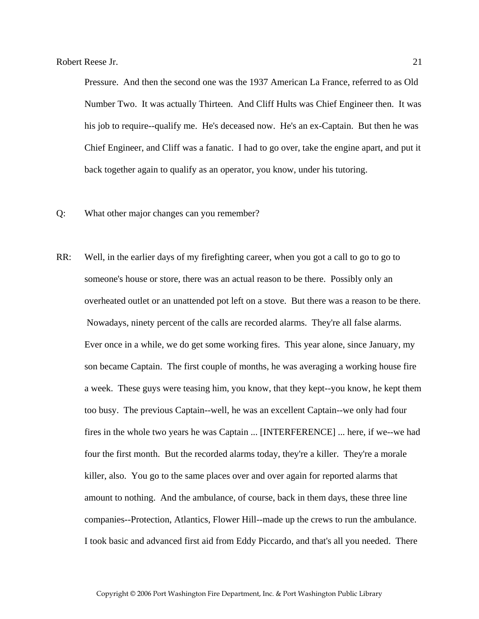Pressure. And then the second one was the 1937 American La France, referred to as Old Number Two. It was actually Thirteen. And Cliff Hults was Chief Engineer then. It was his job to require--qualify me. He's deceased now. He's an ex-Captain. But then he was Chief Engineer, and Cliff was a fanatic. I had to go over, take the engine apart, and put it back together again to qualify as an operator, you know, under his tutoring.

- Q: What other major changes can you remember?
- RR: Well, in the earlier days of my firefighting career, when you got a call to go to go to someone's house or store, there was an actual reason to be there. Possibly only an overheated outlet or an unattended pot left on a stove. But there was a reason to be there. Nowadays, ninety percent of the calls are recorded alarms. They're all false alarms. Ever once in a while, we do get some working fires. This year alone, since January, my son became Captain. The first couple of months, he was averaging a working house fire a week. These guys were teasing him, you know, that they kept--you know, he kept them too busy. The previous Captain--well, he was an excellent Captain--we only had four fires in the whole two years he was Captain ... [INTERFERENCE] ... here, if we--we had four the first month. But the recorded alarms today, they're a killer. They're a morale killer, also. You go to the same places over and over again for reported alarms that amount to nothing. And the ambulance, of course, back in them days, these three line companies--Protection, Atlantics, Flower Hill--made up the crews to run the ambulance. I took basic and advanced first aid from Eddy Piccardo, and that's all you needed. There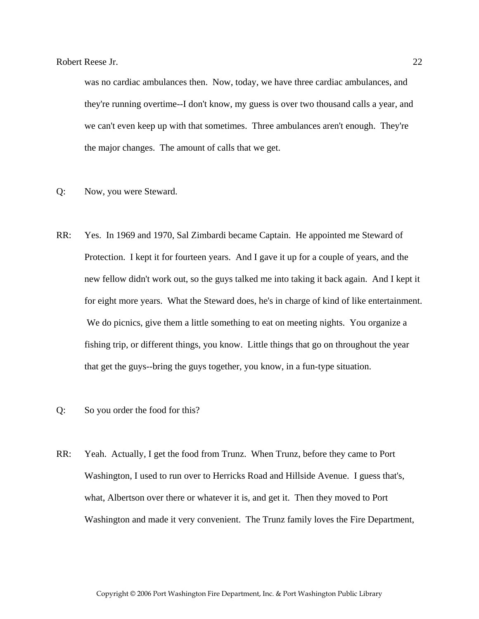was no cardiac ambulances then. Now, today, we have three cardiac ambulances, and they're running overtime--I don't know, my guess is over two thousand calls a year, and we can't even keep up with that sometimes. Three ambulances aren't enough. They're the major changes. The amount of calls that we get.

- Q: Now, you were Steward.
- RR: Yes. In 1969 and 1970, Sal Zimbardi became Captain. He appointed me Steward of Protection. I kept it for fourteen years. And I gave it up for a couple of years, and the new fellow didn't work out, so the guys talked me into taking it back again. And I kept it for eight more years. What the Steward does, he's in charge of kind of like entertainment. We do picnics, give them a little something to eat on meeting nights. You organize a fishing trip, or different things, you know. Little things that go on throughout the year that get the guys--bring the guys together, you know, in a fun-type situation.
- Q: So you order the food for this?
- RR: Yeah. Actually, I get the food from Trunz. When Trunz, before they came to Port Washington, I used to run over to Herricks Road and Hillside Avenue. I guess that's, what, Albertson over there or whatever it is, and get it. Then they moved to Port Washington and made it very convenient. The Trunz family loves the Fire Department,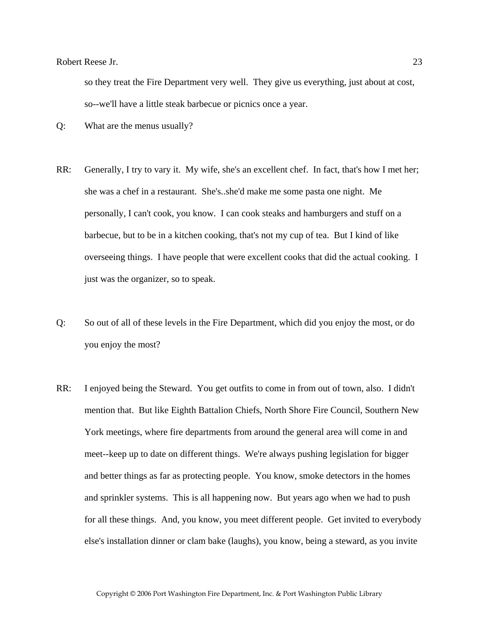so they treat the Fire Department very well. They give us everything, just about at cost, so--we'll have a little steak barbecue or picnics once a year.

Q: What are the menus usually?

- RR: Generally, I try to vary it. My wife, she's an excellent chef. In fact, that's how I met her; she was a chef in a restaurant. She's..she'd make me some pasta one night. Me personally, I can't cook, you know. I can cook steaks and hamburgers and stuff on a barbecue, but to be in a kitchen cooking, that's not my cup of tea. But I kind of like overseeing things. I have people that were excellent cooks that did the actual cooking. I just was the organizer, so to speak.
- Q: So out of all of these levels in the Fire Department, which did you enjoy the most, or do you enjoy the most?
- RR: I enjoyed being the Steward. You get outfits to come in from out of town, also. I didn't mention that. But like Eighth Battalion Chiefs, North Shore Fire Council, Southern New York meetings, where fire departments from around the general area will come in and meet--keep up to date on different things. We're always pushing legislation for bigger and better things as far as protecting people. You know, smoke detectors in the homes and sprinkler systems. This is all happening now. But years ago when we had to push for all these things. And, you know, you meet different people. Get invited to everybody else's installation dinner or clam bake (laughs), you know, being a steward, as you invite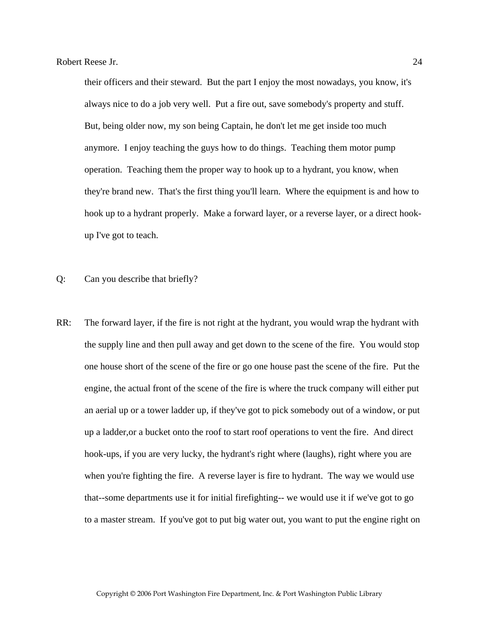their officers and their steward. But the part I enjoy the most nowadays, you know, it's always nice to do a job very well. Put a fire out, save somebody's property and stuff. But, being older now, my son being Captain, he don't let me get inside too much anymore. I enjoy teaching the guys how to do things. Teaching them motor pump operation. Teaching them the proper way to hook up to a hydrant, you know, when they're brand new. That's the first thing you'll learn. Where the equipment is and how to hook up to a hydrant properly. Make a forward layer, or a reverse layer, or a direct hookup I've got to teach.

- Q: Can you describe that briefly?
- RR: The forward layer, if the fire is not right at the hydrant, you would wrap the hydrant with the supply line and then pull away and get down to the scene of the fire. You would stop one house short of the scene of the fire or go one house past the scene of the fire. Put the engine, the actual front of the scene of the fire is where the truck company will either put an aerial up or a tower ladder up, if they've got to pick somebody out of a window, or put up a ladder,or a bucket onto the roof to start roof operations to vent the fire. And direct hook-ups, if you are very lucky, the hydrant's right where (laughs), right where you are when you're fighting the fire. A reverse layer is fire to hydrant. The way we would use that--some departments use it for initial firefighting-- we would use it if we've got to go to a master stream. If you've got to put big water out, you want to put the engine right on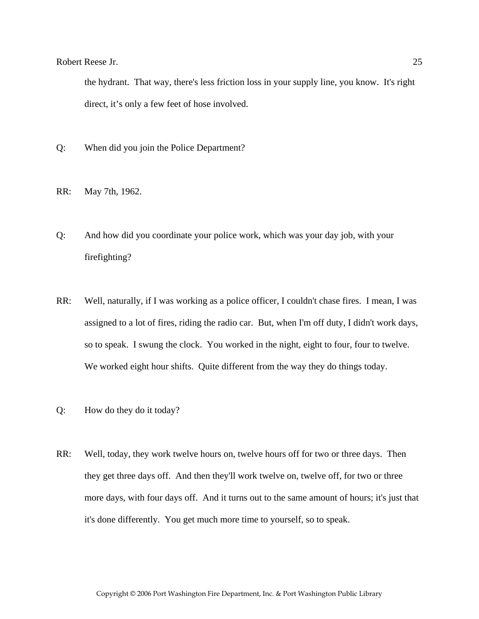the hydrant. That way, there's less friction loss in your supply line, you know. It's right direct, it's only a few feet of hose involved.

- Q: When did you join the Police Department?
- RR: May 7th, 1962.
- Q: And how did you coordinate your police work, which was your day job, with your firefighting?
- RR: Well, naturally, if I was working as a police officer, I couldn't chase fires. I mean, I was assigned to a lot of fires, riding the radio car. But, when I'm off duty, I didn't work days, so to speak. I swung the clock. You worked in the night, eight to four, four to twelve. We worked eight hour shifts. Quite different from the way they do things today.
- Q: How do they do it today?
- RR: Well, today, they work twelve hours on, twelve hours off for two or three days. Then they get three days off. And then they'll work twelve on, twelve off, for two or three more days, with four days off. And it turns out to the same amount of hours; it's just that it's done differently. You get much more time to yourself, so to speak.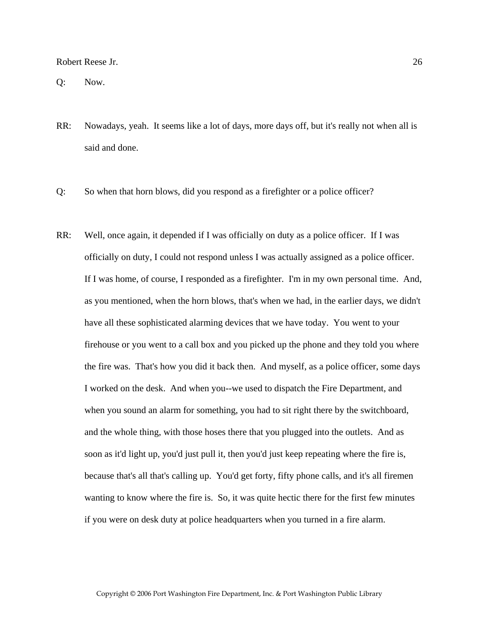Q: Now.

- RR: Nowadays, yeah. It seems like a lot of days, more days off, but it's really not when all is said and done.
- Q: So when that horn blows, did you respond as a firefighter or a police officer?
- RR: Well, once again, it depended if I was officially on duty as a police officer. If I was officially on duty, I could not respond unless I was actually assigned as a police officer. If I was home, of course, I responded as a firefighter. I'm in my own personal time. And, as you mentioned, when the horn blows, that's when we had, in the earlier days, we didn't have all these sophisticated alarming devices that we have today. You went to your firehouse or you went to a call box and you picked up the phone and they told you where the fire was. That's how you did it back then. And myself, as a police officer, some days I worked on the desk. And when you--we used to dispatch the Fire Department, and when you sound an alarm for something, you had to sit right there by the switchboard, and the whole thing, with those hoses there that you plugged into the outlets. And as soon as it'd light up, you'd just pull it, then you'd just keep repeating where the fire is, because that's all that's calling up. You'd get forty, fifty phone calls, and it's all firemen wanting to know where the fire is. So, it was quite hectic there for the first few minutes if you were on desk duty at police headquarters when you turned in a fire alarm.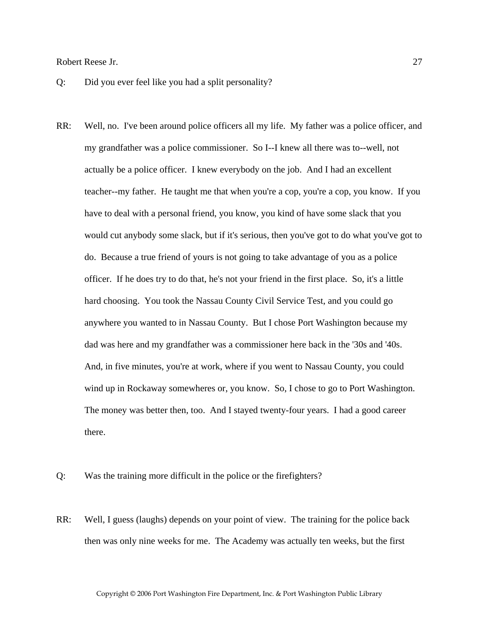- Q: Did you ever feel like you had a split personality?
- RR: Well, no. I've been around police officers all my life. My father was a police officer, and my grandfather was a police commissioner. So I--I knew all there was to--well, not actually be a police officer. I knew everybody on the job. And I had an excellent teacher--my father. He taught me that when you're a cop, you're a cop, you know. If you have to deal with a personal friend, you know, you kind of have some slack that you would cut anybody some slack, but if it's serious, then you've got to do what you've got to do. Because a true friend of yours is not going to take advantage of you as a police officer. If he does try to do that, he's not your friend in the first place. So, it's a little hard choosing. You took the Nassau County Civil Service Test, and you could go anywhere you wanted to in Nassau County. But I chose Port Washington because my dad was here and my grandfather was a commissioner here back in the '30s and '40s. And, in five minutes, you're at work, where if you went to Nassau County, you could wind up in Rockaway somewheres or, you know. So, I chose to go to Port Washington. The money was better then, too. And I stayed twenty-four years. I had a good career there.
- Q: Was the training more difficult in the police or the firefighters?
- RR: Well, I guess (laughs) depends on your point of view. The training for the police back then was only nine weeks for me. The Academy was actually ten weeks, but the first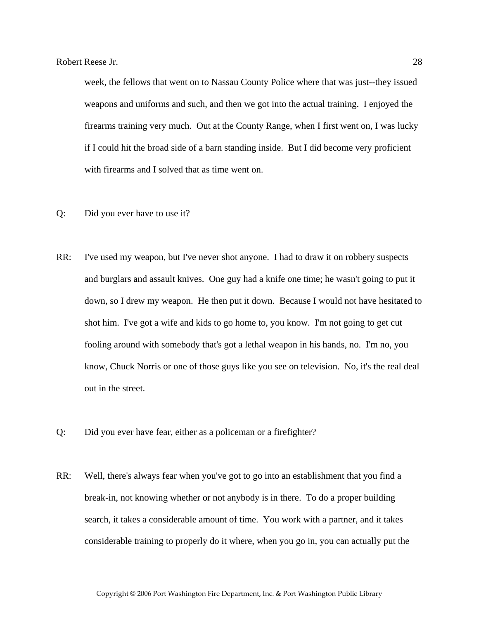week, the fellows that went on to Nassau County Police where that was just--they issued weapons and uniforms and such, and then we got into the actual training. I enjoyed the firearms training very much. Out at the County Range, when I first went on, I was lucky if I could hit the broad side of a barn standing inside. But I did become very proficient with firearms and I solved that as time went on.

- Q: Did you ever have to use it?
- RR: I've used my weapon, but I've never shot anyone. I had to draw it on robbery suspects and burglars and assault knives. One guy had a knife one time; he wasn't going to put it down, so I drew my weapon. He then put it down. Because I would not have hesitated to shot him. I've got a wife and kids to go home to, you know. I'm not going to get cut fooling around with somebody that's got a lethal weapon in his hands, no. I'm no, you know, Chuck Norris or one of those guys like you see on television. No, it's the real deal out in the street.
- Q: Did you ever have fear, either as a policeman or a firefighter?
- RR: Well, there's always fear when you've got to go into an establishment that you find a break-in, not knowing whether or not anybody is in there. To do a proper building search, it takes a considerable amount of time. You work with a partner, and it takes considerable training to properly do it where, when you go in, you can actually put the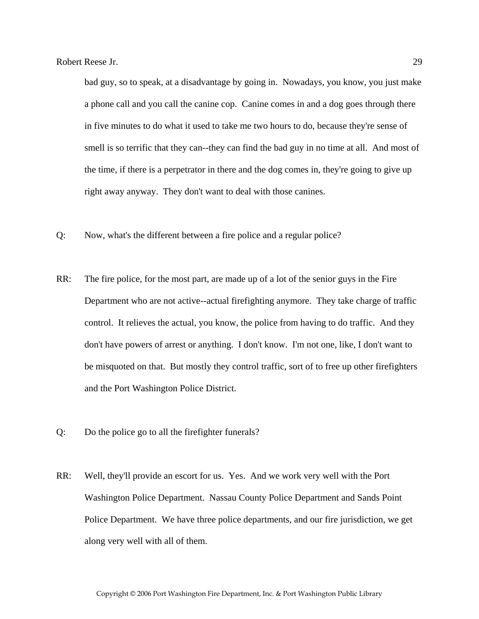bad guy, so to speak, at a disadvantage by going in. Nowadays, you know, you just make a phone call and you call the canine cop. Canine comes in and a dog goes through there in five minutes to do what it used to take me two hours to do, because they're sense of smell is so terrific that they can--they can find the bad guy in no time at all. And most of the time, if there is a perpetrator in there and the dog comes in, they're going to give up right away anyway. They don't want to deal with those canines.

- Q: Now, what's the different between a fire police and a regular police?
- RR: The fire police, for the most part, are made up of a lot of the senior guys in the Fire Department who are not active--actual firefighting anymore. They take charge of traffic control. It relieves the actual, you know, the police from having to do traffic. And they don't have powers of arrest or anything. I don't know. I'm not one, like, I don't want to be misquoted on that. But mostly they control traffic, sort of to free up other firefighters and the Port Washington Police District.
- Q: Do the police go to all the firefighter funerals?
- RR: Well, they'll provide an escort for us. Yes. And we work very well with the Port Washington Police Department. Nassau County Police Department and Sands Point Police Department. We have three police departments, and our fire jurisdiction, we get along very well with all of them.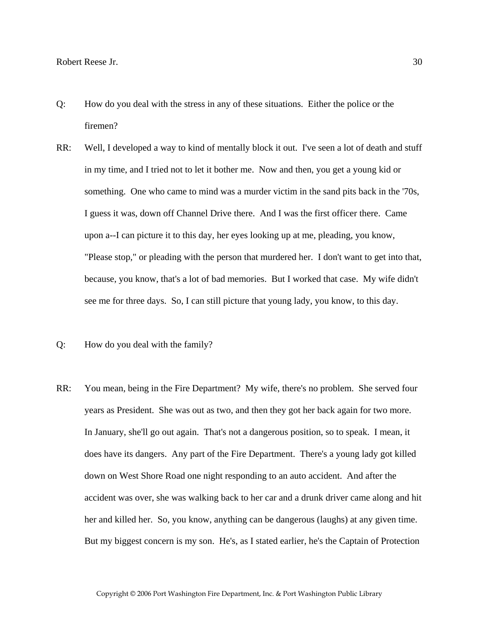- Q: How do you deal with the stress in any of these situations. Either the police or the firemen?
- RR: Well, I developed a way to kind of mentally block it out. I've seen a lot of death and stuff in my time, and I tried not to let it bother me. Now and then, you get a young kid or something. One who came to mind was a murder victim in the sand pits back in the '70s, I guess it was, down off Channel Drive there. And I was the first officer there. Came upon a--I can picture it to this day, her eyes looking up at me, pleading, you know, "Please stop," or pleading with the person that murdered her. I don't want to get into that, because, you know, that's a lot of bad memories. But I worked that case. My wife didn't see me for three days. So, I can still picture that young lady, you know, to this day.
- Q: How do you deal with the family?
- RR: You mean, being in the Fire Department? My wife, there's no problem. She served four years as President. She was out as two, and then they got her back again for two more. In January, she'll go out again. That's not a dangerous position, so to speak. I mean, it does have its dangers. Any part of the Fire Department. There's a young lady got killed down on West Shore Road one night responding to an auto accident. And after the accident was over, she was walking back to her car and a drunk driver came along and hit her and killed her. So, you know, anything can be dangerous (laughs) at any given time. But my biggest concern is my son. He's, as I stated earlier, he's the Captain of Protection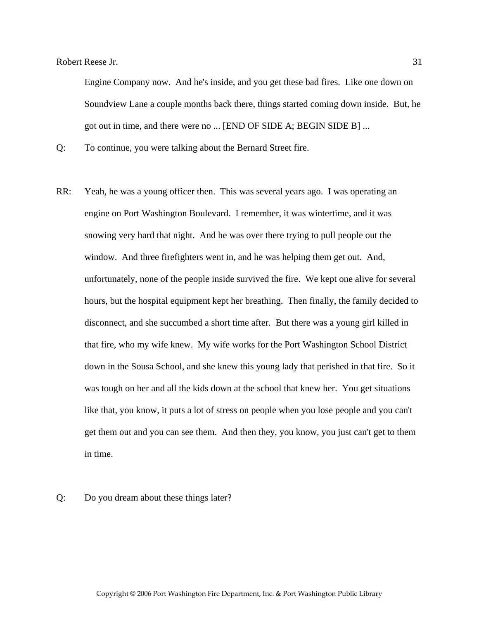Engine Company now. And he's inside, and you get these bad fires. Like one down on Soundview Lane a couple months back there, things started coming down inside. But, he got out in time, and there were no ... [END OF SIDE A; BEGIN SIDE B] ...

Q: To continue, you were talking about the Bernard Street fire.

- RR: Yeah, he was a young officer then. This was several years ago. I was operating an engine on Port Washington Boulevard. I remember, it was wintertime, and it was snowing very hard that night. And he was over there trying to pull people out the window. And three firefighters went in, and he was helping them get out. And, unfortunately, none of the people inside survived the fire. We kept one alive for several hours, but the hospital equipment kept her breathing. Then finally, the family decided to disconnect, and she succumbed a short time after. But there was a young girl killed in that fire, who my wife knew. My wife works for the Port Washington School District down in the Sousa School, and she knew this young lady that perished in that fire. So it was tough on her and all the kids down at the school that knew her. You get situations like that, you know, it puts a lot of stress on people when you lose people and you can't get them out and you can see them. And then they, you know, you just can't get to them in time.
- Q: Do you dream about these things later?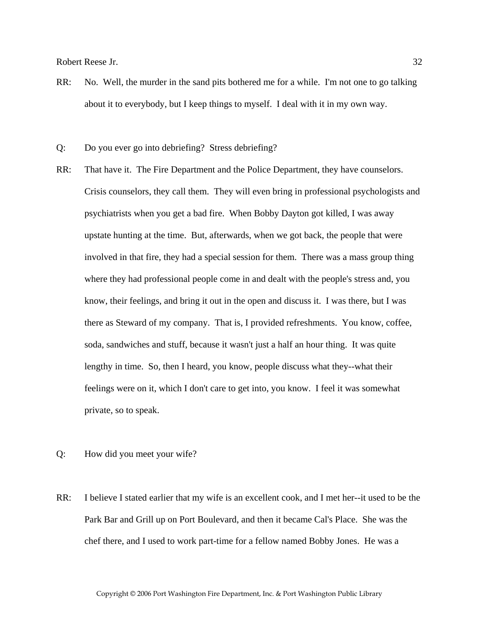- RR: No. Well, the murder in the sand pits bothered me for a while. I'm not one to go talking about it to everybody, but I keep things to myself. I deal with it in my own way.
- Q: Do you ever go into debriefing? Stress debriefing?
- RR: That have it. The Fire Department and the Police Department, they have counselors. Crisis counselors, they call them. They will even bring in professional psychologists and psychiatrists when you get a bad fire. When Bobby Dayton got killed, I was away upstate hunting at the time. But, afterwards, when we got back, the people that were involved in that fire, they had a special session for them. There was a mass group thing where they had professional people come in and dealt with the people's stress and, you know, their feelings, and bring it out in the open and discuss it. I was there, but I was there as Steward of my company. That is, I provided refreshments. You know, coffee, soda, sandwiches and stuff, because it wasn't just a half an hour thing. It was quite lengthy in time. So, then I heard, you know, people discuss what they--what their feelings were on it, which I don't care to get into, you know. I feel it was somewhat private, so to speak.
- Q: How did you meet your wife?
- RR: I believe I stated earlier that my wife is an excellent cook, and I met her--it used to be the Park Bar and Grill up on Port Boulevard, and then it became Cal's Place. She was the chef there, and I used to work part-time for a fellow named Bobby Jones. He was a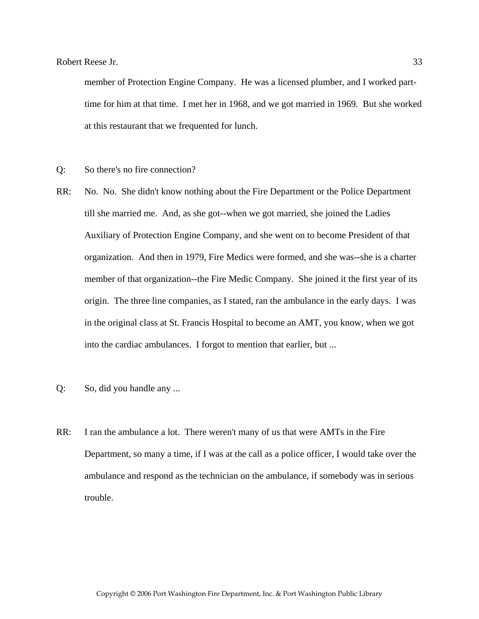member of Protection Engine Company. He was a licensed plumber, and I worked parttime for him at that time. I met her in 1968, and we got married in 1969. But she worked at this restaurant that we frequented for lunch.

- Q: So there's no fire connection?
- RR: No. No. She didn't know nothing about the Fire Department or the Police Department till she married me. And, as she got--when we got married, she joined the Ladies Auxiliary of Protection Engine Company, and she went on to become President of that organization. And then in 1979, Fire Medics were formed, and she was--she is a charter member of that organization--the Fire Medic Company. She joined it the first year of its origin. The three line companies, as I stated, ran the ambulance in the early days. I was in the original class at St. Francis Hospital to become an AMT, you know, when we got into the cardiac ambulances. I forgot to mention that earlier, but ...
- Q: So, did you handle any ...
- RR: I ran the ambulance a lot. There weren't many of us that were AMTs in the Fire Department, so many a time, if I was at the call as a police officer, I would take over the ambulance and respond as the technician on the ambulance, if somebody was in serious trouble.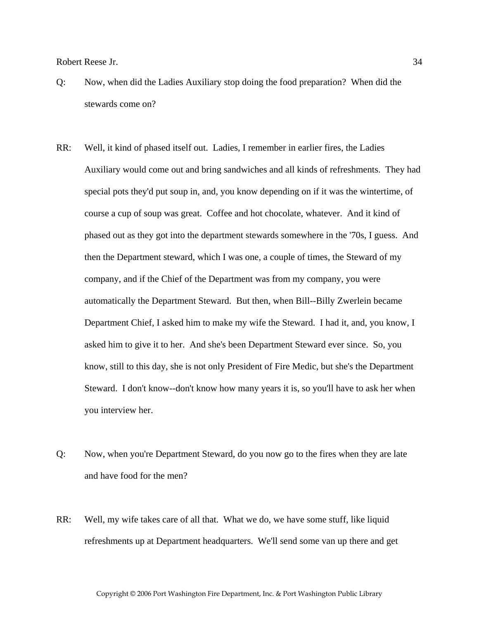- Q: Now, when did the Ladies Auxiliary stop doing the food preparation? When did the stewards come on?
- RR: Well, it kind of phased itself out. Ladies, I remember in earlier fires, the Ladies Auxiliary would come out and bring sandwiches and all kinds of refreshments. They had special pots they'd put soup in, and, you know depending on if it was the wintertime, of course a cup of soup was great. Coffee and hot chocolate, whatever. And it kind of phased out as they got into the department stewards somewhere in the '70s, I guess. And then the Department steward, which I was one, a couple of times, the Steward of my company, and if the Chief of the Department was from my company, you were automatically the Department Steward. But then, when Bill--Billy Zwerlein became Department Chief, I asked him to make my wife the Steward. I had it, and, you know, I asked him to give it to her. And she's been Department Steward ever since. So, you know, still to this day, she is not only President of Fire Medic, but she's the Department Steward. I don't know--don't know how many years it is, so you'll have to ask her when you interview her.
- Q: Now, when you're Department Steward, do you now go to the fires when they are late and have food for the men?
- RR: Well, my wife takes care of all that. What we do, we have some stuff, like liquid refreshments up at Department headquarters. We'll send some van up there and get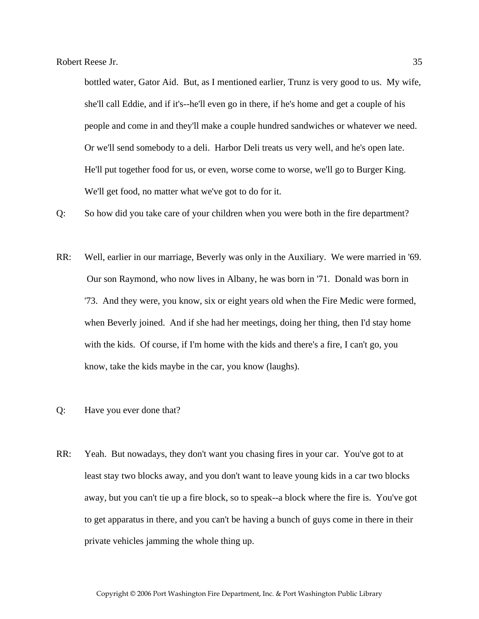bottled water, Gator Aid. But, as I mentioned earlier, Trunz is very good to us. My wife, she'll call Eddie, and if it's--he'll even go in there, if he's home and get a couple of his people and come in and they'll make a couple hundred sandwiches or whatever we need. Or we'll send somebody to a deli. Harbor Deli treats us very well, and he's open late. He'll put together food for us, or even, worse come to worse, we'll go to Burger King. We'll get food, no matter what we've got to do for it.

Q: So how did you take care of your children when you were both in the fire department?

- RR: Well, earlier in our marriage, Beverly was only in the Auxiliary. We were married in '69. Our son Raymond, who now lives in Albany, he was born in '71. Donald was born in '73. And they were, you know, six or eight years old when the Fire Medic were formed, when Beverly joined. And if she had her meetings, doing her thing, then I'd stay home with the kids. Of course, if I'm home with the kids and there's a fire, I can't go, you know, take the kids maybe in the car, you know (laughs).
- Q: Have you ever done that?
- RR: Yeah. But nowadays, they don't want you chasing fires in your car. You've got to at least stay two blocks away, and you don't want to leave young kids in a car two blocks away, but you can't tie up a fire block, so to speak--a block where the fire is. You've got to get apparatus in there, and you can't be having a bunch of guys come in there in their private vehicles jamming the whole thing up.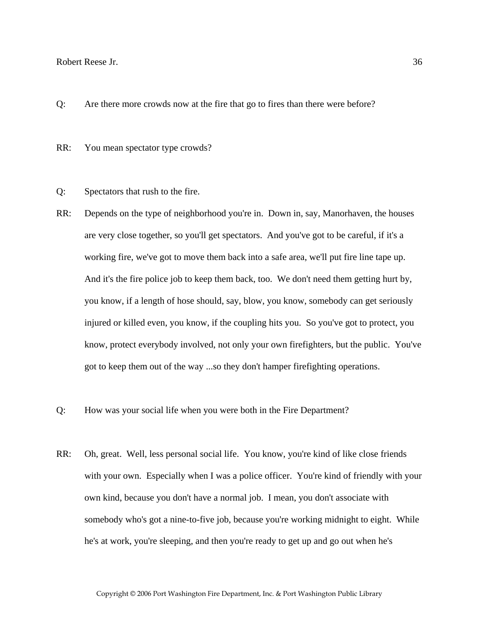Q: Are there more crowds now at the fire that go to fires than there were before?

RR: You mean spectator type crowds?

- Q: Spectators that rush to the fire.
- RR: Depends on the type of neighborhood you're in. Down in, say, Manorhaven, the houses are very close together, so you'll get spectators. And you've got to be careful, if it's a working fire, we've got to move them back into a safe area, we'll put fire line tape up. And it's the fire police job to keep them back, too. We don't need them getting hurt by, you know, if a length of hose should, say, blow, you know, somebody can get seriously injured or killed even, you know, if the coupling hits you. So you've got to protect, you know, protect everybody involved, not only your own firefighters, but the public. You've got to keep them out of the way ...so they don't hamper firefighting operations.
- Q: How was your social life when you were both in the Fire Department?
- RR: Oh, great. Well, less personal social life. You know, you're kind of like close friends with your own. Especially when I was a police officer. You're kind of friendly with your own kind, because you don't have a normal job. I mean, you don't associate with somebody who's got a nine-to-five job, because you're working midnight to eight. While he's at work, you're sleeping, and then you're ready to get up and go out when he's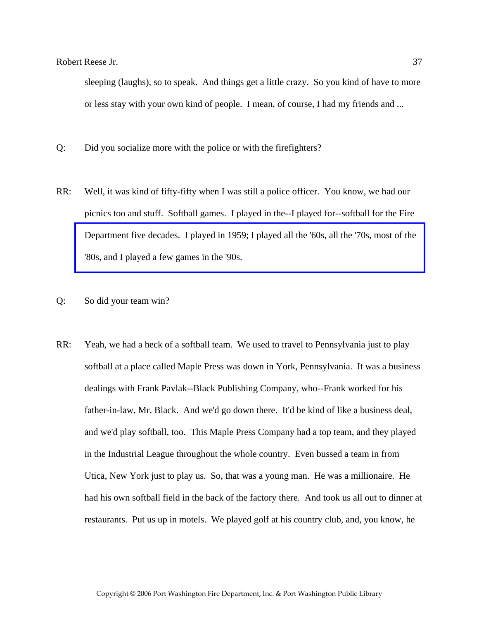sleeping (laughs), so to speak. And things get a little crazy. So you kind of have to more or less stay with your own kind of people. I mean, of course, I had my friends and ...

- Q: Did you socialize more with the police or with the firefighters?
- RR: Well, it was kind of fifty-fifty when I was still a police officer. You know, we had our picnics too and stuff. Softball games. I played in the--I played for--softball for the Fire [Department five decades. I played in 1959; I played all the '60s, all the '70s, most of the](http://www.pwfdhistory.com/trans/reeseb_trans/pwfd_softball005_web.jpg)  '80s, and I played a few games in the '90s.
- Q: So did your team win?
- RR: Yeah, we had a heck of a softball team. We used to travel to Pennsylvania just to play softball at a place called Maple Press was down in York, Pennsylvania. It was a business dealings with Frank Pavlak--Black Publishing Company, who--Frank worked for his father-in-law, Mr. Black. And we'd go down there. It'd be kind of like a business deal, and we'd play softball, too. This Maple Press Company had a top team, and they played in the Industrial League throughout the whole country. Even bussed a team in from Utica, New York just to play us. So, that was a young man. He was a millionaire. He had his own softball field in the back of the factory there. And took us all out to dinner at restaurants. Put us up in motels. We played golf at his country club, and, you know, he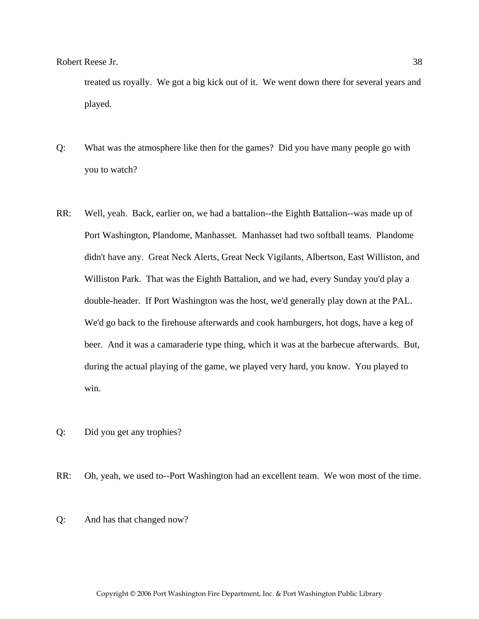treated us royally. We got a big kick out of it. We went down there for several years and played.

- Q: What was the atmosphere like then for the games? Did you have many people go with you to watch?
- RR: Well, yeah. Back, earlier on, we had a battalion--the Eighth Battalion--was made up of Port Washington, Plandome, Manhasset. Manhasset had two softball teams. Plandome didn't have any. Great Neck Alerts, Great Neck Vigilants, Albertson, East Williston, and Williston Park. That was the Eighth Battalion, and we had, every Sunday you'd play a double-header. If Port Washington was the host, we'd generally play down at the PAL. We'd go back to the firehouse afterwards and cook hamburgers, hot dogs, have a keg of beer. And it was a camaraderie type thing, which it was at the barbecue afterwards. But, during the actual playing of the game, we played very hard, you know. You played to win.
- Q: Did you get any trophies?

RR: Oh, yeah, we used to--Port Washington had an excellent team. We won most of the time.

Q: And has that changed now?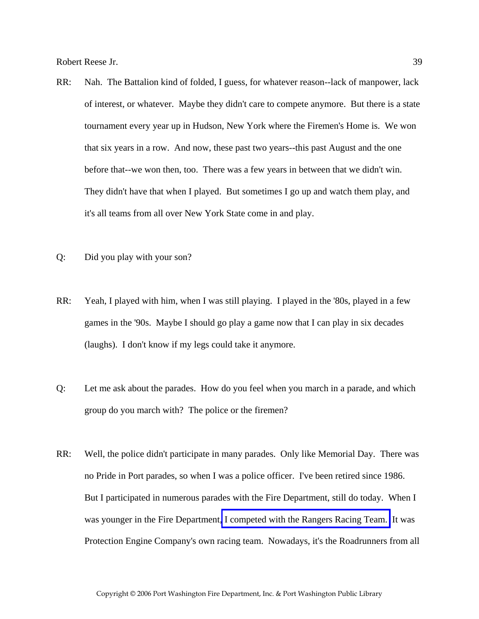- RR: Nah. The Battalion kind of folded, I guess, for whatever reason--lack of manpower, lack of interest, or whatever. Maybe they didn't care to compete anymore. But there is a state tournament every year up in Hudson, New York where the Firemen's Home is. We won that six years in a row. And now, these past two years--this past August and the one before that--we won then, too. There was a few years in between that we didn't win. They didn't have that when I played. But sometimes I go up and watch them play, and it's all teams from all over New York State come in and play.
- Q: Did you play with your son?
- RR: Yeah, I played with him, when I was still playing. I played in the '80s, played in a few games in the '90s. Maybe I should go play a game now that I can play in six decades (laughs). I don't know if my legs could take it anymore.
- Q: Let me ask about the parades. How do you feel when you march in a parade, and which group do you march with? The police or the firemen?
- RR: Well, the police didn't participate in many parades. Only like Memorial Day. There was no Pride in Port parades, so when I was a police officer. I've been retired since 1986. But I participated in numerous parades with the Fire Department, still do today. When I was younger in the Fire Department[, I competed with the Rangers Racing Team.](http://www.pwfdhistory.com/trans/reeseb_trans/peco_racing09_web.jpg) It was Protection Engine Company's own racing team. Nowadays, it's the Roadrunners from all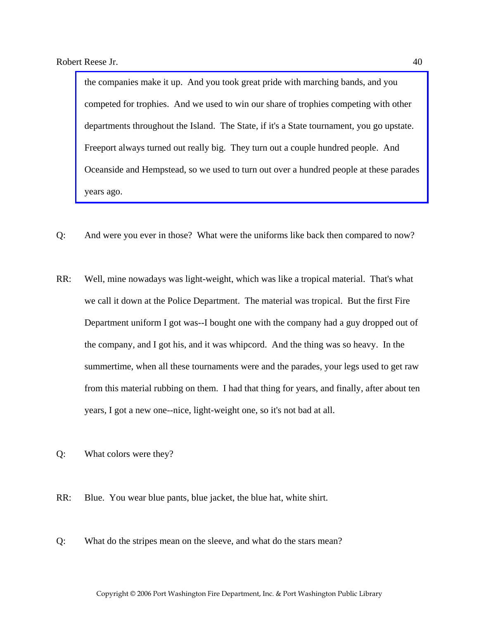the companies make it up. And you took great pride with marching bands, and you competed for trophies. And we used to win our share of trophies competing with other departments throughout the Island. The State, if it's a State tournament, you go upstate. Freeport always turned out really big. They turn out a couple hundred people. And [Oceanside and Hempstead, so we used to turn out over a hundred people at these parades](http://www.pwfdhistory.com/trans/reeseb_trans/peco_parades006_web.jpg)  years ago.

- Q: And were you ever in those? What were the uniforms like back then compared to now?
- RR: Well, mine nowadays was light-weight, which was like a tropical material. That's what we call it down at the Police Department. The material was tropical. But the first Fire Department uniform I got was--I bought one with the company had a guy dropped out of the company, and I got his, and it was whipcord. And the thing was so heavy. In the summertime, when all these tournaments were and the parades, your legs used to get raw from this material rubbing on them. I had that thing for years, and finally, after about ten years, I got a new one--nice, light-weight one, so it's not bad at all.
- Q: What colors were they?
- RR: Blue. You wear blue pants, blue jacket, the blue hat, white shirt.
- Q: What do the stripes mean on the sleeve, and what do the stars mean?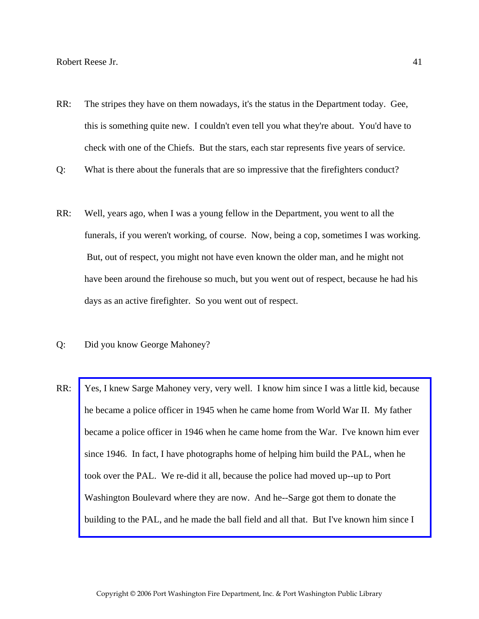- RR: The stripes they have on them nowadays, it's the status in the Department today. Gee, this is something quite new. I couldn't even tell you what they're about. You'd have to check with one of the Chiefs. But the stars, each star represents five years of service.
- Q: What is there about the funerals that are so impressive that the firefighters conduct?
- RR: Well, years ago, when I was a young fellow in the Department, you went to all the funerals, if you weren't working, of course. Now, being a cop, sometimes I was working. But, out of respect, you might not have even known the older man, and he might not have been around the firehouse so much, but you went out of respect, because he had his days as an active firefighter. So you went out of respect.
- Q: Did you know George Mahoney?
- RR: [Yes, I knew Sarge Mahoney very, very well. I know him since I was a little kid, because](http://www.pwfdhistory.com/trans/reeseb_trans/news_cocks290a_web.pdf)  he became a police officer in 1945 when he came home from World War II. My father became a police officer in 1946 when he came home from the War. I've known him ever since 1946. In fact, I have photographs home of helping him build the PAL, when he took over the PAL. We re-did it all, because the police had moved up--up to Port Washington Boulevard where they are now. And he--Sarge got them to donate the building to the PAL, and he made the ball field and all that. But I've known him since I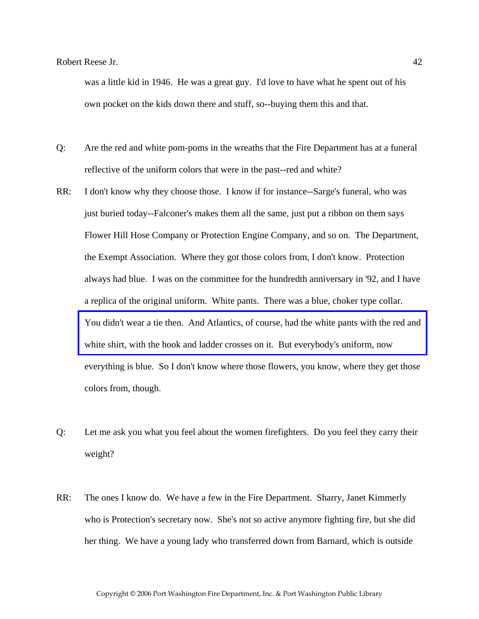was a little kid in 1946. He was a great guy. I'd love to have what he spent out of his own pocket on the kids down there and stuff, so--buying them this and that.

- Q: Are the red and white pom-poms in the wreaths that the Fire Department has at a funeral reflective of the uniform colors that were in the past--red and white?
- RR: I don't know why they choose those. I know if for instance--Sarge's funeral, who was just buried today--Falconer's makes them all the same, just put a ribbon on them says Flower Hill Hose Company or Protection Engine Company, and so on. The Department, the Exempt Association. Where they got those colors from, I don't know. Protection always had blue. I was on the committee for the hundredth anniversary in '92, and I have a replica of the original uniform. White pants. There was a blue, choker type collar. [You didn't wear a tie then. And Atlantics, of course, had the white pants with the red and](http://www.pwfdhistory.com/trans/reeseb_trans/ahlco_members24.jpg)  white shirt, with the hook and ladder crosses on it. But everybody's uniform, now everything is blue. So I don't know where those flowers, you know, where they get those colors from, though.
- Q: Let me ask you what you feel about the women firefighters. Do you feel they carry their weight?
- RR: The ones I know do. We have a few in the Fire Department. Sharry, Janet Kimmerly who is Protection's secretary now. She's not so active anymore fighting fire, but she did her thing. We have a young lady who transferred down from Barnard, which is outside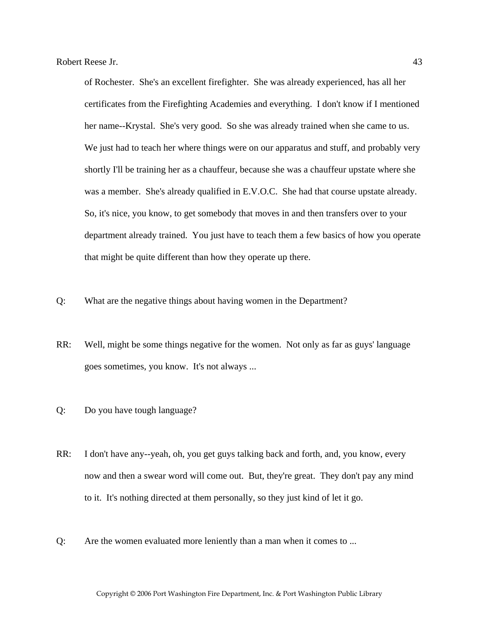of Rochester. She's an excellent firefighter. She was already experienced, has all her certificates from the Firefighting Academies and everything. I don't know if I mentioned her name--Krystal. She's very good. So she was already trained when she came to us. We just had to teach her where things were on our apparatus and stuff, and probably very shortly I'll be training her as a chauffeur, because she was a chauffeur upstate where she was a member. She's already qualified in E.V.O.C. She had that course upstate already. So, it's nice, you know, to get somebody that moves in and then transfers over to your department already trained. You just have to teach them a few basics of how you operate that might be quite different than how they operate up there.

- Q: What are the negative things about having women in the Department?
- RR: Well, might be some things negative for the women. Not only as far as guys' language goes sometimes, you know. It's not always ...
- Q: Do you have tough language?
- RR: I don't have any--yeah, oh, you get guys talking back and forth, and, you know, every now and then a swear word will come out. But, they're great. They don't pay any mind to it. It's nothing directed at them personally, so they just kind of let it go.
- Q: Are the women evaluated more leniently than a man when it comes to ...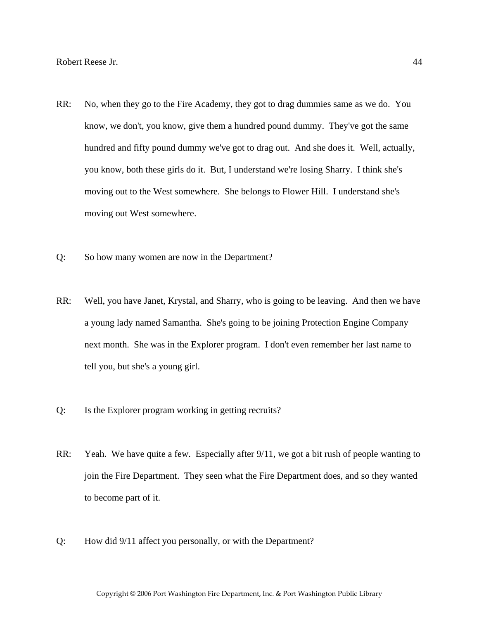- RR: No, when they go to the Fire Academy, they got to drag dummies same as we do. You know, we don't, you know, give them a hundred pound dummy. They've got the same hundred and fifty pound dummy we've got to drag out. And she does it. Well, actually, you know, both these girls do it. But, I understand we're losing Sharry. I think she's moving out to the West somewhere. She belongs to Flower Hill. I understand she's moving out West somewhere.
- Q: So how many women are now in the Department?
- RR: Well, you have Janet, Krystal, and Sharry, who is going to be leaving. And then we have a young lady named Samantha. She's going to be joining Protection Engine Company next month. She was in the Explorer program. I don't even remember her last name to tell you, but she's a young girl.
- Q: Is the Explorer program working in getting recruits?
- RR: Yeah. We have quite a few. Especially after 9/11, we got a bit rush of people wanting to join the Fire Department. They seen what the Fire Department does, and so they wanted to become part of it.
- Q: How did 9/11 affect you personally, or with the Department?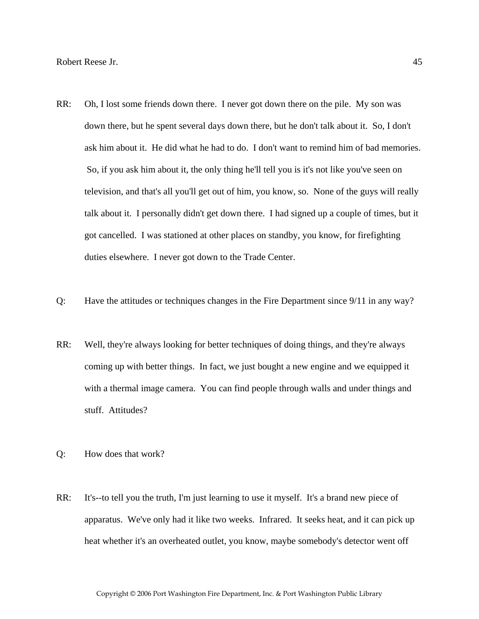- RR: Oh, I lost some friends down there. I never got down there on the pile. My son was down there, but he spent several days down there, but he don't talk about it. So, I don't ask him about it. He did what he had to do. I don't want to remind him of bad memories. So, if you ask him about it, the only thing he'll tell you is it's not like you've seen on television, and that's all you'll get out of him, you know, so. None of the guys will really talk about it. I personally didn't get down there. I had signed up a couple of times, but it got cancelled. I was stationed at other places on standby, you know, for firefighting duties elsewhere. I never got down to the Trade Center.
- Q: Have the attitudes or techniques changes in the Fire Department since 9/11 in any way?
- RR: Well, they're always looking for better techniques of doing things, and they're always coming up with better things. In fact, we just bought a new engine and we equipped it with a thermal image camera. You can find people through walls and under things and stuff. Attitudes?
- Q: How does that work?
- RR: It's--to tell you the truth, I'm just learning to use it myself. It's a brand new piece of apparatus. We've only had it like two weeks. Infrared. It seeks heat, and it can pick up heat whether it's an overheated outlet, you know, maybe somebody's detector went off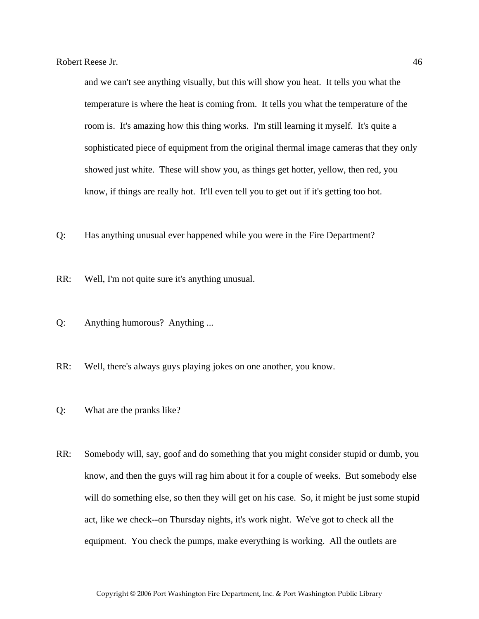and we can't see anything visually, but this will show you heat. It tells you what the temperature is where the heat is coming from. It tells you what the temperature of the room is. It's amazing how this thing works. I'm still learning it myself. It's quite a sophisticated piece of equipment from the original thermal image cameras that they only showed just white. These will show you, as things get hotter, yellow, then red, you know, if things are really hot. It'll even tell you to get out if it's getting too hot.

- Q: Has anything unusual ever happened while you were in the Fire Department?
- RR: Well, I'm not quite sure it's anything unusual.
- Q: Anything humorous? Anything ...
- RR: Well, there's always guys playing jokes on one another, you know.
- Q: What are the pranks like?
- RR: Somebody will, say, goof and do something that you might consider stupid or dumb, you know, and then the guys will rag him about it for a couple of weeks. But somebody else will do something else, so then they will get on his case. So, it might be just some stupid act, like we check--on Thursday nights, it's work night. We've got to check all the equipment. You check the pumps, make everything is working. All the outlets are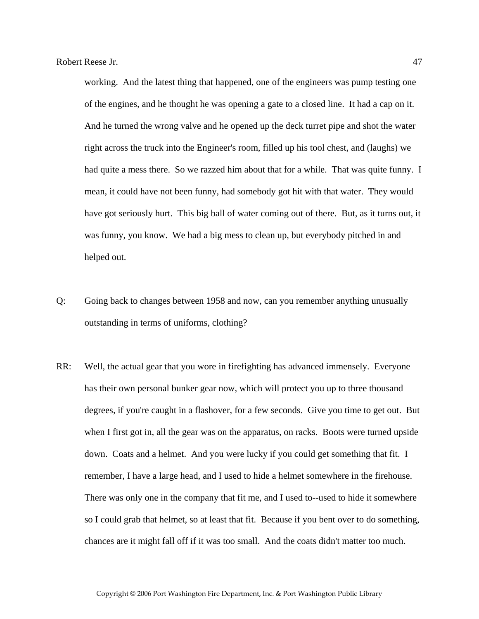working. And the latest thing that happened, one of the engineers was pump testing one of the engines, and he thought he was opening a gate to a closed line. It had a cap on it. And he turned the wrong valve and he opened up the deck turret pipe and shot the water right across the truck into the Engineer's room, filled up his tool chest, and (laughs) we had quite a mess there. So we razzed him about that for a while. That was quite funny. I mean, it could have not been funny, had somebody got hit with that water. They would have got seriously hurt. This big ball of water coming out of there. But, as it turns out, it was funny, you know. We had a big mess to clean up, but everybody pitched in and helped out.

- Q: Going back to changes between 1958 and now, can you remember anything unusually outstanding in terms of uniforms, clothing?
- RR: Well, the actual gear that you wore in firefighting has advanced immensely. Everyone has their own personal bunker gear now, which will protect you up to three thousand degrees, if you're caught in a flashover, for a few seconds. Give you time to get out. But when I first got in, all the gear was on the apparatus, on racks. Boots were turned upside down. Coats and a helmet. And you were lucky if you could get something that fit. I remember, I have a large head, and I used to hide a helmet somewhere in the firehouse. There was only one in the company that fit me, and I used to--used to hide it somewhere so I could grab that helmet, so at least that fit. Because if you bent over to do something, chances are it might fall off if it was too small. And the coats didn't matter too much.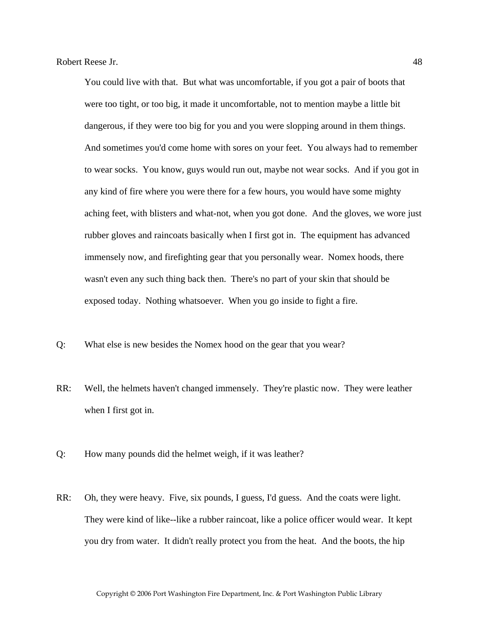You could live with that. But what was uncomfortable, if you got a pair of boots that were too tight, or too big, it made it uncomfortable, not to mention maybe a little bit dangerous, if they were too big for you and you were slopping around in them things. And sometimes you'd come home with sores on your feet. You always had to remember to wear socks. You know, guys would run out, maybe not wear socks. And if you got in any kind of fire where you were there for a few hours, you would have some mighty aching feet, with blisters and what-not, when you got done. And the gloves, we wore just rubber gloves and raincoats basically when I first got in. The equipment has advanced immensely now, and firefighting gear that you personally wear. Nomex hoods, there wasn't even any such thing back then. There's no part of your skin that should be exposed today. Nothing whatsoever. When you go inside to fight a fire.

- Q: What else is new besides the Nomex hood on the gear that you wear?
- RR: Well, the helmets haven't changed immensely. They're plastic now. They were leather when I first got in.
- Q: How many pounds did the helmet weigh, if it was leather?
- RR: Oh, they were heavy. Five, six pounds, I guess, I'd guess. And the coats were light. They were kind of like--like a rubber raincoat, like a police officer would wear. It kept you dry from water. It didn't really protect you from the heat. And the boots, the hip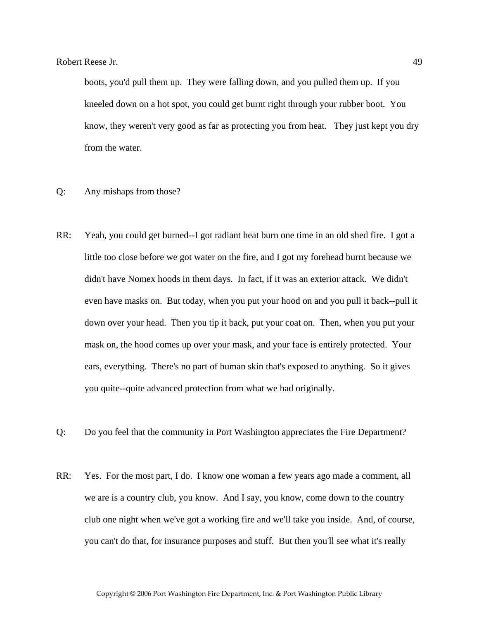boots, you'd pull them up. They were falling down, and you pulled them up. If you kneeled down on a hot spot, you could get burnt right through your rubber boot. You know, they weren't very good as far as protecting you from heat. They just kept you dry from the water.

- Q: Any mishaps from those?
- RR: Yeah, you could get burned--I got radiant heat burn one time in an old shed fire. I got a little too close before we got water on the fire, and I got my forehead burnt because we didn't have Nomex hoods in them days. In fact, if it was an exterior attack. We didn't even have masks on. But today, when you put your hood on and you pull it back--pull it down over your head. Then you tip it back, put your coat on. Then, when you put your mask on, the hood comes up over your mask, and your face is entirely protected. Your ears, everything. There's no part of human skin that's exposed to anything. So it gives you quite--quite advanced protection from what we had originally.
- Q: Do you feel that the community in Port Washington appreciates the Fire Department?
- RR: Yes. For the most part, I do. I know one woman a few years ago made a comment, all we are is a country club, you know. And I say, you know, come down to the country club one night when we've got a working fire and we'll take you inside. And, of course, you can't do that, for insurance purposes and stuff. But then you'll see what it's really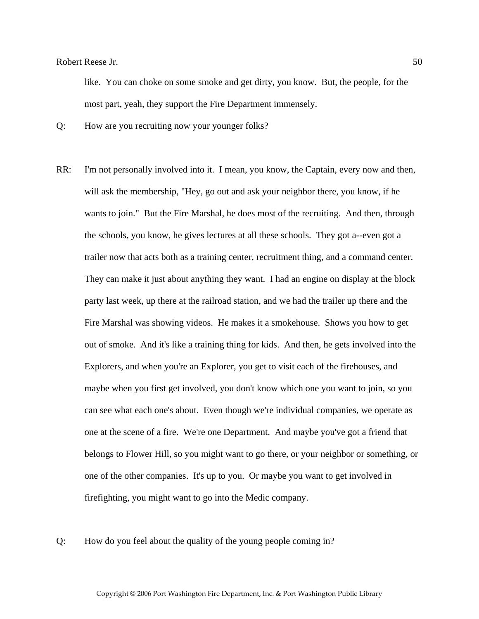like. You can choke on some smoke and get dirty, you know. But, the people, for the most part, yeah, they support the Fire Department immensely.

Q: How are you recruiting now your younger folks?

- RR: I'm not personally involved into it. I mean, you know, the Captain, every now and then, will ask the membership, "Hey, go out and ask your neighbor there, you know, if he wants to join." But the Fire Marshal, he does most of the recruiting. And then, through the schools, you know, he gives lectures at all these schools. They got a--even got a trailer now that acts both as a training center, recruitment thing, and a command center. They can make it just about anything they want. I had an engine on display at the block party last week, up there at the railroad station, and we had the trailer up there and the Fire Marshal was showing videos. He makes it a smokehouse. Shows you how to get out of smoke. And it's like a training thing for kids. And then, he gets involved into the Explorers, and when you're an Explorer, you get to visit each of the firehouses, and maybe when you first get involved, you don't know which one you want to join, so you can see what each one's about. Even though we're individual companies, we operate as one at the scene of a fire. We're one Department. And maybe you've got a friend that belongs to Flower Hill, so you might want to go there, or your neighbor or something, or one of the other companies. It's up to you. Or maybe you want to get involved in firefighting, you might want to go into the Medic company.
- Q: How do you feel about the quality of the young people coming in?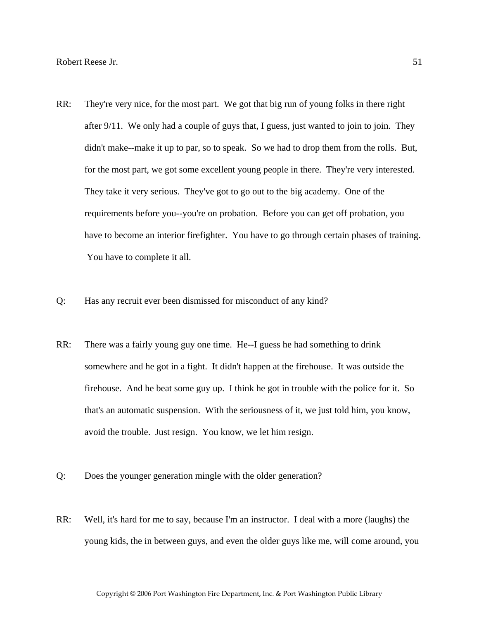- RR: They're very nice, for the most part. We got that big run of young folks in there right after 9/11. We only had a couple of guys that, I guess, just wanted to join to join. They didn't make--make it up to par, so to speak. So we had to drop them from the rolls. But, for the most part, we got some excellent young people in there. They're very interested. They take it very serious. They've got to go out to the big academy. One of the requirements before you--you're on probation. Before you can get off probation, you have to become an interior firefighter. You have to go through certain phases of training. You have to complete it all.
- Q: Has any recruit ever been dismissed for misconduct of any kind?
- RR: There was a fairly young guy one time. He--I guess he had something to drink somewhere and he got in a fight. It didn't happen at the firehouse. It was outside the firehouse. And he beat some guy up. I think he got in trouble with the police for it. So that's an automatic suspension. With the seriousness of it, we just told him, you know, avoid the trouble. Just resign. You know, we let him resign.
- Q: Does the younger generation mingle with the older generation?
- RR: Well, it's hard for me to say, because I'm an instructor. I deal with a more (laughs) the young kids, the in between guys, and even the older guys like me, will come around, you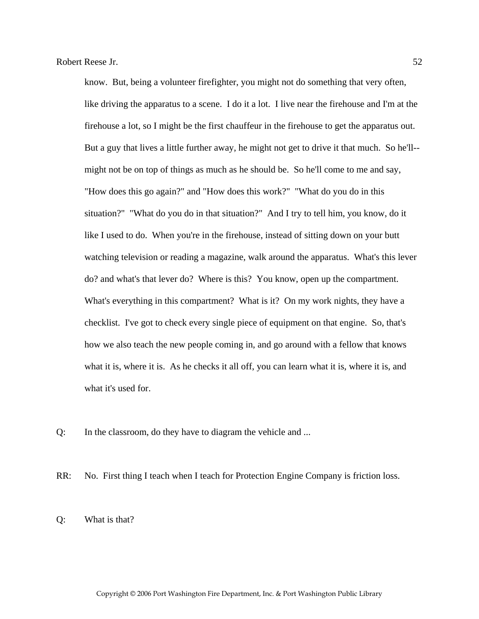know. But, being a volunteer firefighter, you might not do something that very often, like driving the apparatus to a scene. I do it a lot. I live near the firehouse and I'm at the firehouse a lot, so I might be the first chauffeur in the firehouse to get the apparatus out. But a guy that lives a little further away, he might not get to drive it that much. So he'll- might not be on top of things as much as he should be. So he'll come to me and say, "How does this go again?" and "How does this work?" "What do you do in this situation?" "What do you do in that situation?" And I try to tell him, you know, do it like I used to do. When you're in the firehouse, instead of sitting down on your butt watching television or reading a magazine, walk around the apparatus. What's this lever do? and what's that lever do? Where is this? You know, open up the compartment. What's everything in this compartment? What is it? On my work nights, they have a checklist. I've got to check every single piece of equipment on that engine. So, that's how we also teach the new people coming in, and go around with a fellow that knows what it is, where it is. As he checks it all off, you can learn what it is, where it is, and what it's used for.

- Q: In the classroom, do they have to diagram the vehicle and ...
- RR: No. First thing I teach when I teach for Protection Engine Company is friction loss.

Q: What is that?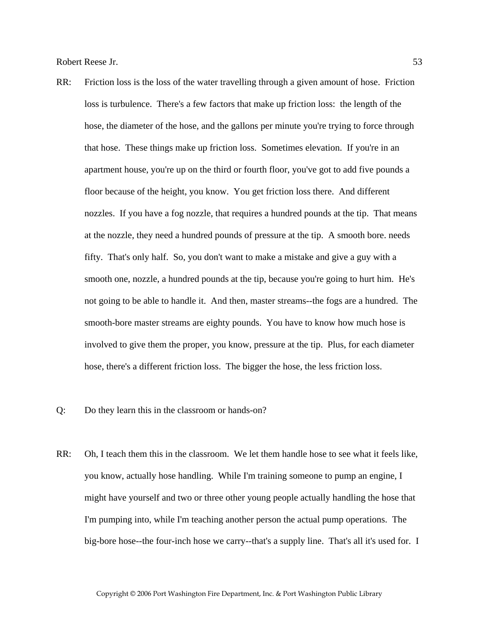- RR: Friction loss is the loss of the water travelling through a given amount of hose. Friction loss is turbulence. There's a few factors that make up friction loss: the length of the hose, the diameter of the hose, and the gallons per minute you're trying to force through that hose. These things make up friction loss. Sometimes elevation. If you're in an apartment house, you're up on the third or fourth floor, you've got to add five pounds a floor because of the height, you know. You get friction loss there. And different nozzles. If you have a fog nozzle, that requires a hundred pounds at the tip. That means at the nozzle, they need a hundred pounds of pressure at the tip. A smooth bore. needs fifty. That's only half. So, you don't want to make a mistake and give a guy with a smooth one, nozzle, a hundred pounds at the tip, because you're going to hurt him. He's not going to be able to handle it. And then, master streams--the fogs are a hundred. The smooth-bore master streams are eighty pounds. You have to know how much hose is involved to give them the proper, you know, pressure at the tip. Plus, for each diameter hose, there's a different friction loss. The bigger the hose, the less friction loss.
- Q: Do they learn this in the classroom or hands-on?
- RR: Oh, I teach them this in the classroom. We let them handle hose to see what it feels like, you know, actually hose handling. While I'm training someone to pump an engine, I might have yourself and two or three other young people actually handling the hose that I'm pumping into, while I'm teaching another person the actual pump operations. The big-bore hose--the four-inch hose we carry--that's a supply line. That's all it's used for. I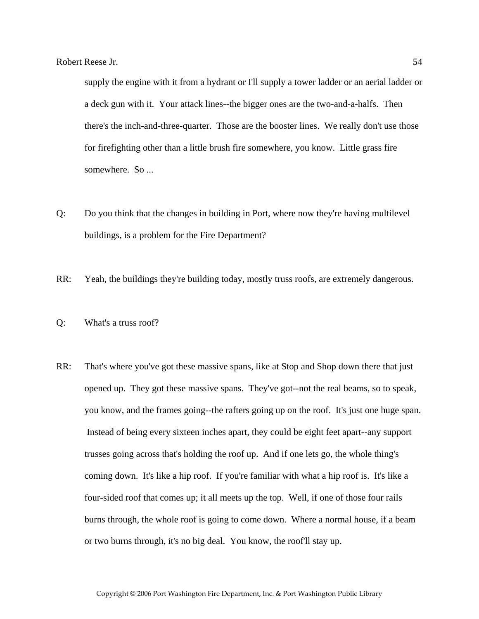supply the engine with it from a hydrant or I'll supply a tower ladder or an aerial ladder or a deck gun with it. Your attack lines--the bigger ones are the two-and-a-halfs. Then there's the inch-and-three-quarter. Those are the booster lines. We really don't use those for firefighting other than a little brush fire somewhere, you know. Little grass fire somewhere. So ...

- Q: Do you think that the changes in building in Port, where now they're having multilevel buildings, is a problem for the Fire Department?
- RR: Yeah, the buildings they're building today, mostly truss roofs, are extremely dangerous.
- Q: What's a truss roof?
- RR: That's where you've got these massive spans, like at Stop and Shop down there that just opened up. They got these massive spans. They've got--not the real beams, so to speak, you know, and the frames going--the rafters going up on the roof. It's just one huge span. Instead of being every sixteen inches apart, they could be eight feet apart--any support trusses going across that's holding the roof up. And if one lets go, the whole thing's coming down. It's like a hip roof. If you're familiar with what a hip roof is. It's like a four-sided roof that comes up; it all meets up the top. Well, if one of those four rails burns through, the whole roof is going to come down. Where a normal house, if a beam or two burns through, it's no big deal. You know, the roof'll stay up.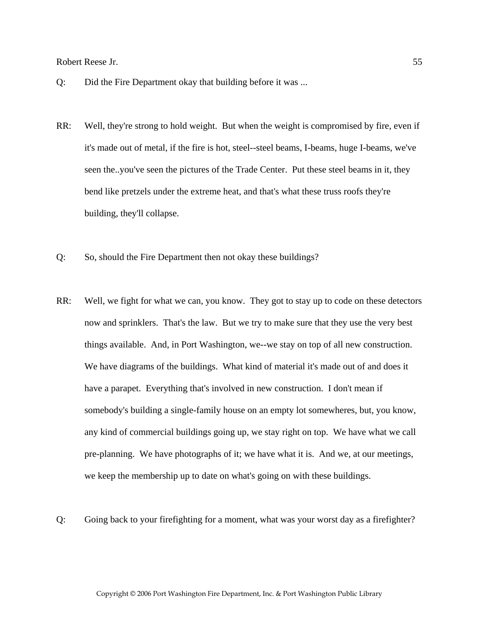- Q: Did the Fire Department okay that building before it was ...
- RR: Well, they're strong to hold weight. But when the weight is compromised by fire, even if it's made out of metal, if the fire is hot, steel--steel beams, I-beams, huge I-beams, we've seen the..you've seen the pictures of the Trade Center. Put these steel beams in it, they bend like pretzels under the extreme heat, and that's what these truss roofs they're building, they'll collapse.
- Q: So, should the Fire Department then not okay these buildings?
- RR: Well, we fight for what we can, you know. They got to stay up to code on these detectors now and sprinklers. That's the law. But we try to make sure that they use the very best things available. And, in Port Washington, we--we stay on top of all new construction. We have diagrams of the buildings. What kind of material it's made out of and does it have a parapet. Everything that's involved in new construction. I don't mean if somebody's building a single-family house on an empty lot somewheres, but, you know, any kind of commercial buildings going up, we stay right on top. We have what we call pre-planning. We have photographs of it; we have what it is. And we, at our meetings, we keep the membership up to date on what's going on with these buildings.
- Q: Going back to your firefighting for a moment, what was your worst day as a firefighter?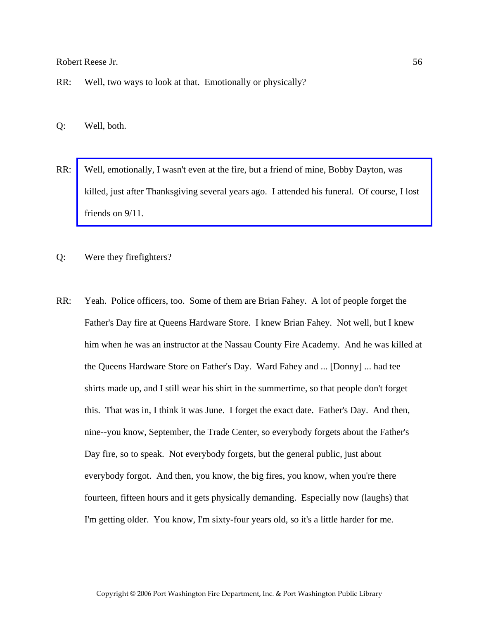RR: Well, two ways to look at that. Emotionally or physically?

Q: Well, both.

- RR: Well, emotionally, I wasn't even at the fire, but a friend of mine, Bobby Dayton, was [killed, just after Thanksgiving several years ago. I attended his funeral. Of course, I lost](http://www.pwfdhistory.com/trans/reeseb_trans/pnews881201_pz.pdf)  friends on 9/11.
- Q: Were they firefighters?
- RR: Yeah. Police officers, too. Some of them are Brian Fahey. A lot of people forget the Father's Day fire at Queens Hardware Store. I knew Brian Fahey. Not well, but I knew him when he was an instructor at the Nassau County Fire Academy. And he was killed at the Queens Hardware Store on Father's Day. Ward Fahey and ... [Donny] ... had tee shirts made up, and I still wear his shirt in the summertime, so that people don't forget this. That was in, I think it was June. I forget the exact date. Father's Day. And then, nine--you know, September, the Trade Center, so everybody forgets about the Father's Day fire, so to speak. Not everybody forgets, but the general public, just about everybody forgot. And then, you know, the big fires, you know, when you're there fourteen, fifteen hours and it gets physically demanding. Especially now (laughs) that I'm getting older. You know, I'm sixty-four years old, so it's a little harder for me.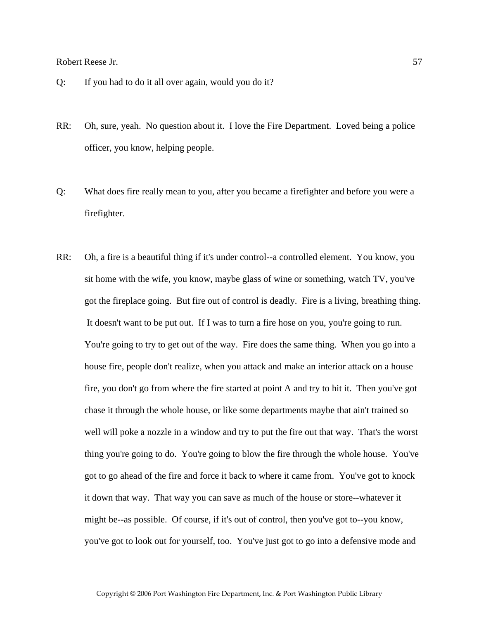- Q: If you had to do it all over again, would you do it?
- RR: Oh, sure, yeah. No question about it. I love the Fire Department. Loved being a police officer, you know, helping people.
- Q: What does fire really mean to you, after you became a firefighter and before you were a firefighter.
- RR: Oh, a fire is a beautiful thing if it's under control--a controlled element. You know, you sit home with the wife, you know, maybe glass of wine or something, watch TV, you've got the fireplace going. But fire out of control is deadly. Fire is a living, breathing thing. It doesn't want to be put out. If I was to turn a fire hose on you, you're going to run. You're going to try to get out of the way. Fire does the same thing. When you go into a house fire, people don't realize, when you attack and make an interior attack on a house fire, you don't go from where the fire started at point A and try to hit it. Then you've got chase it through the whole house, or like some departments maybe that ain't trained so well will poke a nozzle in a window and try to put the fire out that way. That's the worst thing you're going to do. You're going to blow the fire through the whole house. You've got to go ahead of the fire and force it back to where it came from. You've got to knock it down that way. That way you can save as much of the house or store--whatever it might be--as possible. Of course, if it's out of control, then you've got to--you know, you've got to look out for yourself, too. You've just got to go into a defensive mode and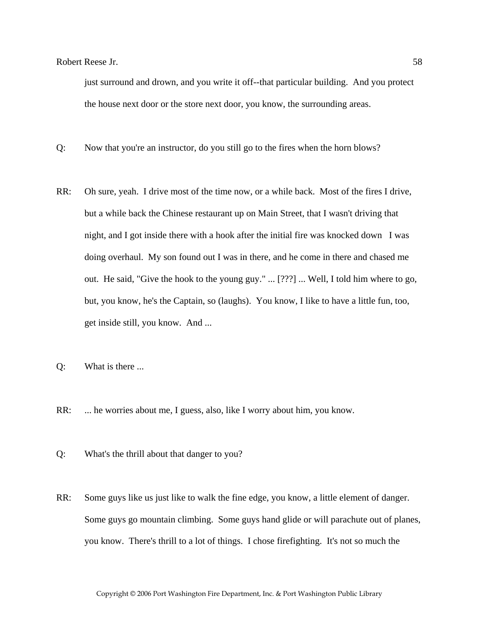just surround and drown, and you write it off--that particular building. And you protect the house next door or the store next door, you know, the surrounding areas.

- Q: Now that you're an instructor, do you still go to the fires when the horn blows?
- RR: Oh sure, yeah. I drive most of the time now, or a while back. Most of the fires I drive, but a while back the Chinese restaurant up on Main Street, that I wasn't driving that night, and I got inside there with a hook after the initial fire was knocked down I was doing overhaul. My son found out I was in there, and he come in there and chased me out. He said, "Give the hook to the young guy." ... [???] ... Well, I told him where to go, but, you know, he's the Captain, so (laughs). You know, I like to have a little fun, too, get inside still, you know. And ...
- Q: What is there ...
- RR: ... he worries about me, I guess, also, like I worry about him, you know.
- Q: What's the thrill about that danger to you?
- RR: Some guys like us just like to walk the fine edge, you know, a little element of danger. Some guys go mountain climbing. Some guys hand glide or will parachute out of planes, you know. There's thrill to a lot of things. I chose firefighting. It's not so much the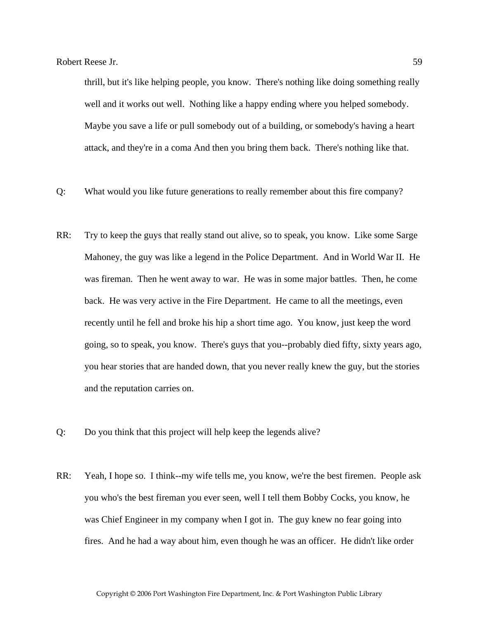thrill, but it's like helping people, you know. There's nothing like doing something really well and it works out well. Nothing like a happy ending where you helped somebody. Maybe you save a life or pull somebody out of a building, or somebody's having a heart attack, and they're in a coma And then you bring them back. There's nothing like that.

- Q: What would you like future generations to really remember about this fire company?
- RR: Try to keep the guys that really stand out alive, so to speak, you know. Like some Sarge Mahoney, the guy was like a legend in the Police Department. And in World War II. He was fireman. Then he went away to war. He was in some major battles. Then, he come back. He was very active in the Fire Department. He came to all the meetings, even recently until he fell and broke his hip a short time ago. You know, just keep the word going, so to speak, you know. There's guys that you--probably died fifty, sixty years ago, you hear stories that are handed down, that you never really knew the guy, but the stories and the reputation carries on.
- Q: Do you think that this project will help keep the legends alive?
- RR: Yeah, I hope so. I think--my wife tells me, you know, we're the best firemen. People ask you who's the best fireman you ever seen, well I tell them Bobby Cocks, you know, he was Chief Engineer in my company when I got in. The guy knew no fear going into fires. And he had a way about him, even though he was an officer. He didn't like order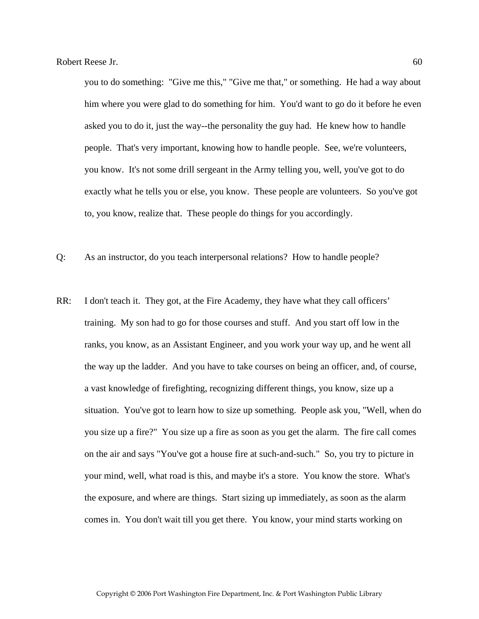you to do something: "Give me this," "Give me that," or something. He had a way about him where you were glad to do something for him. You'd want to go do it before he even asked you to do it, just the way--the personality the guy had. He knew how to handle people. That's very important, knowing how to handle people. See, we're volunteers, you know. It's not some drill sergeant in the Army telling you, well, you've got to do exactly what he tells you or else, you know. These people are volunteers. So you've got to, you know, realize that. These people do things for you accordingly.

- Q: As an instructor, do you teach interpersonal relations? How to handle people?
- RR: I don't teach it. They got, at the Fire Academy, they have what they call officers' training. My son had to go for those courses and stuff. And you start off low in the ranks, you know, as an Assistant Engineer, and you work your way up, and he went all the way up the ladder. And you have to take courses on being an officer, and, of course, a vast knowledge of firefighting, recognizing different things, you know, size up a situation. You've got to learn how to size up something. People ask you, "Well, when do you size up a fire?" You size up a fire as soon as you get the alarm. The fire call comes on the air and says "You've got a house fire at such-and-such." So, you try to picture in your mind, well, what road is this, and maybe it's a store. You know the store. What's the exposure, and where are things. Start sizing up immediately, as soon as the alarm comes in. You don't wait till you get there. You know, your mind starts working on